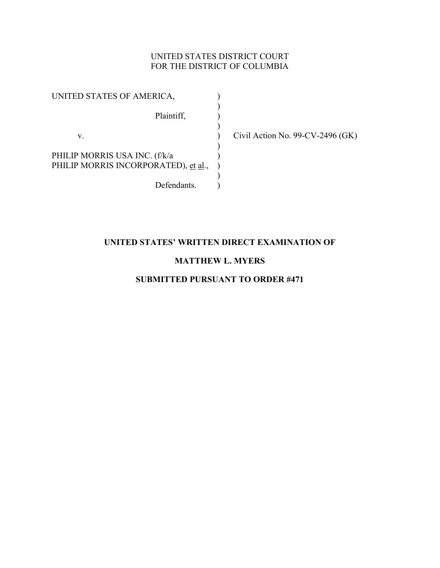### UNITED STATES DISTRICT COURT FOR THE DISTRICT OF COLUMBIA

UNITED STATES OF AMERICA,  $)$ Plaintiff,  $\overline{\phantom{a}}$  $)$ 

PHILIP MORRIS USA INC. (f/k/a ) PHILIP MORRIS INCORPORATED), et al., )  $\overline{\phantom{a}}$ 

 $)$ 

Defendants.

v. ) Civil Action No. 99-CV-2496 (GK)

### **UNITED STATES' WRITTEN DIRECT EXAMINATION OF**

### **MATTHEW L. MYERS**

### **SUBMITTED PURSUANT TO ORDER #471**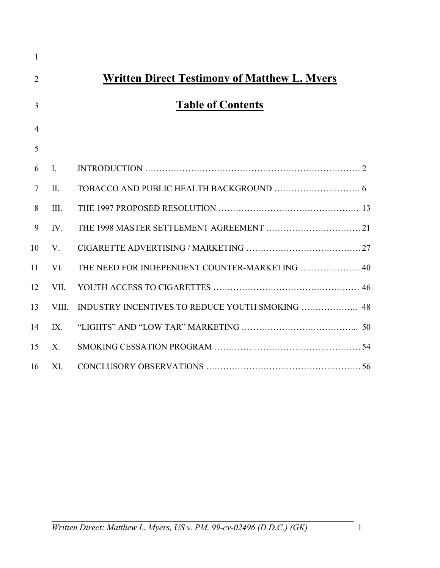| <b>Written Direct Testimony of Matthew L. Myers</b> |
|-----------------------------------------------------|
|                                                     |
|                                                     |
|                                                     |
|                                                     |
|                                                     |
|                                                     |
|                                                     |
|                                                     |
|                                                     |
| THE NEED FOR INDEPENDENT COUNTER-MARKETING  40      |
|                                                     |
|                                                     |
|                                                     |
|                                                     |
|                                                     |
|                                                     |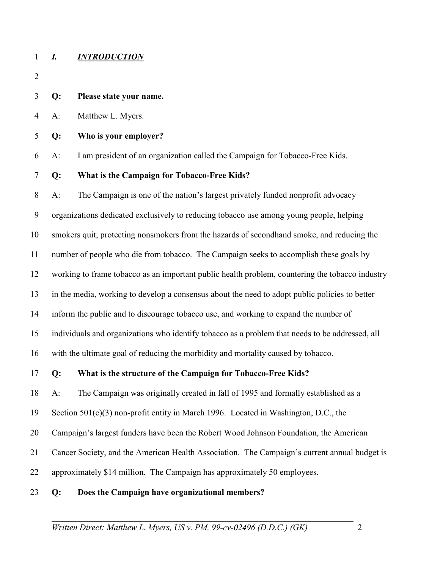#### 1 *I. INTRODUCTION*

- 2
- 3 **Q: Please state your name.**
- 4 A: Matthew L. Myers.
- 5 **Q: Who is your employer?**
- 6 A: I am president of an organization called the Campaign for Tobacco-Free Kids.
- 7 **Q: What is the Campaign for Tobacco-Free Kids?**

8 A: The Campaign is one of the nation's largest privately funded nonprofit advocacy 9 organizations dedicated exclusively to reducing tobacco use among young people, helping 10 smokers quit, protecting nonsmokers from the hazards of secondhand smoke, and reducing the 11 number of people who die from tobacco. The Campaign seeks to accomplish these goals by 12 working to frame tobacco as an important public health problem, countering the tobacco industry 13 in the media, working to develop a consensus about the need to adopt public policies to better 14 inform the public and to discourage tobacco use, and working to expand the number of 15 individuals and organizations who identify tobacco as a problem that needs to be addressed, all 16 with the ultimate goal of reducing the morbidity and mortality caused by tobacco.

17 **Q: What is the structure of the Campaign for Tobacco-Free Kids?**

18 A: The Campaign was originally created in fall of 1995 and formally established as a

19 Section 501(c)(3) non-profit entity in March 1996. Located in Washington, D.C., the

20 Campaign's largest funders have been the Robert Wood Johnson Foundation, the American

- 21 Cancer Society, and the American Health Association. The Campaign's current annual budget is
- 22 approximately \$14 million. The Campaign has approximately 50 employees.

#### 23 **Q: Does the Campaign have organizational members?**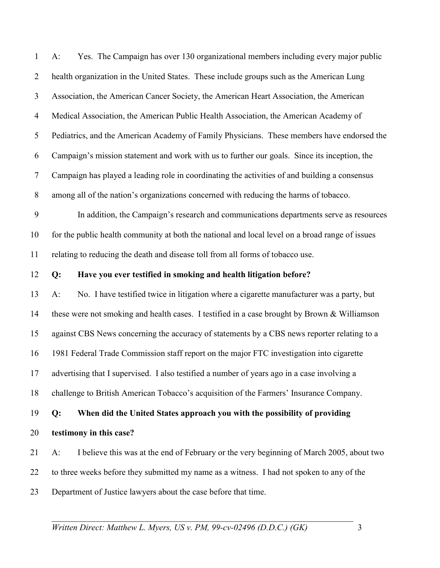| $\mathbf{1}$   | Yes. The Campaign has over 130 organizational members including every major public<br>$A$ :       |
|----------------|---------------------------------------------------------------------------------------------------|
| $\overline{2}$ | health organization in the United States. These include groups such as the American Lung          |
| $\mathfrak{Z}$ | Association, the American Cancer Society, the American Heart Association, the American            |
| $\overline{4}$ | Medical Association, the American Public Health Association, the American Academy of              |
| 5              | Pediatrics, and the American Academy of Family Physicians. These members have endorsed the        |
| 6              | Campaign's mission statement and work with us to further our goals. Since its inception, the      |
| $\tau$         | Campaign has played a leading role in coordinating the activities of and building a consensus     |
| 8              | among all of the nation's organizations concerned with reducing the harms of tobacco.             |
| 9              | In addition, the Campaign's research and communications departments serve as resources            |
| 10             | for the public health community at both the national and local level on a broad range of issues   |
| 11             | relating to reducing the death and disease toll from all forms of tobacco use.                    |
| 12             | Have you ever testified in smoking and health litigation before?<br>Q:                            |
| 13             | No. I have testified twice in litigation where a cigarette manufacturer was a party, but<br>$A$ : |
| 14             | these were not smoking and health cases. I testified in a case brought by Brown & Williamson      |
| 15             | against CBS News concerning the accuracy of statements by a CBS news reporter relating to a       |
| 16             | 1981 Federal Trade Commission staff report on the major FTC investigation into cigarette          |
| 17             | advertising that I supervised. I also testified a number of years ago in a case involving a       |
| 18             | challenge to British American Tobacco's acquisition of the Farmers' Insurance Company.            |
| 19             | When did the United States approach you with the possibility of providing<br>Q:                   |
| 20             | testimony in this case?                                                                           |
| 21             | I believe this was at the end of February or the very beginning of March 2005, about two<br>$A$ : |
|                |                                                                                                   |
| 22             | to three weeks before they submitted my name as a witness. I had not spoken to any of the         |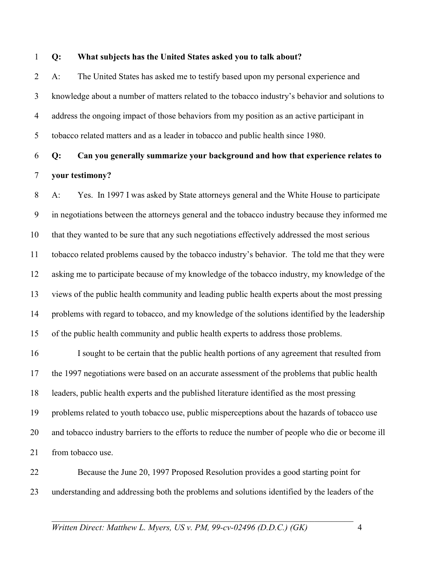#### 1 **Q: What subjects has the United States asked you to talk about?**

2 A: The United States has asked me to testify based upon my personal experience and 3 knowledge about a number of matters related to the tobacco industry's behavior and solutions to 4 address the ongoing impact of those behaviors from my position as an active participant in 5 tobacco related matters and as a leader in tobacco and public health since 1980.

## 6 **Q: Can you generally summarize your background and how that experience relates to**  7 **your testimony?**

8 A: Yes. In 1997 I was asked by State attorneys general and the White House to participate 9 in negotiations between the attorneys general and the tobacco industry because they informed me 10 that they wanted to be sure that any such negotiations effectively addressed the most serious 11 tobacco related problems caused by the tobacco industry's behavior. The told me that they were 12 asking me to participate because of my knowledge of the tobacco industry, my knowledge of the 13 views of the public health community and leading public health experts about the most pressing 14 problems with regard to tobacco, and my knowledge of the solutions identified by the leadership 15 of the public health community and public health experts to address those problems.

16 I sought to be certain that the public health portions of any agreement that resulted from 17 the 1997 negotiations were based on an accurate assessment of the problems that public health 18 leaders, public health experts and the published literature identified as the most pressing 19 problems related to youth tobacco use, public misperceptions about the hazards of tobacco use 20 and tobacco industry barriers to the efforts to reduce the number of people who die or become ill 21 from tobacco use.

22 Because the June 20, 1997 Proposed Resolution provides a good starting point for 23 understanding and addressing both the problems and solutions identified by the leaders of the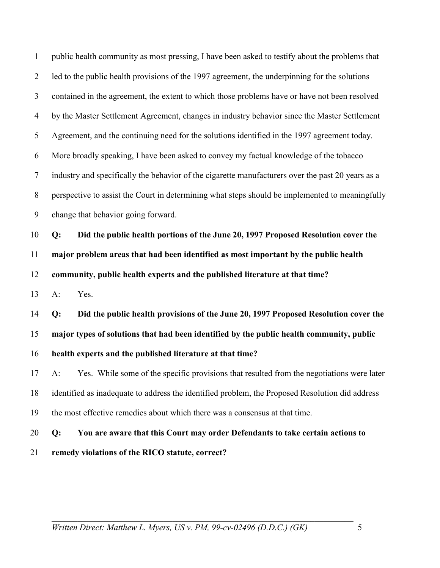| $\mathbf{1}$   | public health community as most pressing, I have been asked to testify about the problems that    |
|----------------|---------------------------------------------------------------------------------------------------|
| $\overline{2}$ | led to the public health provisions of the 1997 agreement, the underpinning for the solutions     |
| 3              | contained in the agreement, the extent to which those problems have or have not been resolved     |
| $\overline{4}$ | by the Master Settlement Agreement, changes in industry behavior since the Master Settlement      |
| 5              | Agreement, and the continuing need for the solutions identified in the 1997 agreement today.      |
| 6              | More broadly speaking, I have been asked to convey my factual knowledge of the tobacco            |
| $\tau$         | industry and specifically the behavior of the cigarette manufacturers over the past 20 years as a |
| 8              | perspective to assist the Court in determining what steps should be implemented to meaningfully   |
| 9              | change that behavior going forward.                                                               |
| 10             | Did the public health portions of the June 20, 1997 Proposed Resolution cover the<br>Q:           |
| 11             | major problem areas that had been identified as most important by the public health               |
| 12             | community, public health experts and the published literature at that time?                       |
| 13             | Yes.<br>$A$ :                                                                                     |
| 14             | Did the public health provisions of the June 20, 1997 Proposed Resolution cover the<br>Q:         |
| 15             | major types of solutions that had been identified by the public health community, public          |
| 16             | health experts and the published literature at that time?                                         |
| 17             | A: Yes. While some of the specific provisions that resulted from the negotiations were later      |
| 18             | identified as inadequate to address the identified problem, the Proposed Resolution did address   |
| 19             | the most effective remedies about which there was a consensus at that time.                       |
| 20             | You are aware that this Court may order Defendants to take certain actions to<br>Q:               |
| 21             | remedy violations of the RICO statute, correct?                                                   |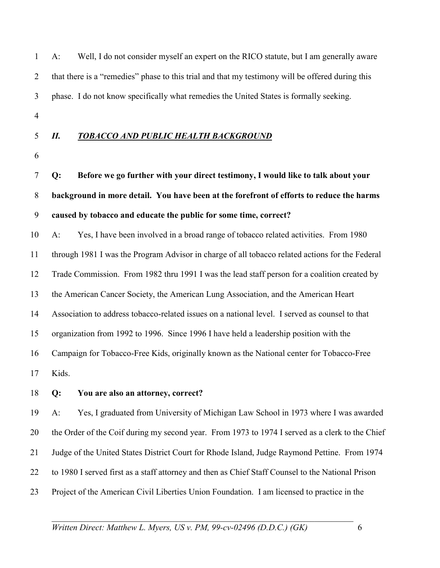| $\mathbf{1}$   | $A$ : | Well, I do not consider myself an expert on the RICO statute, but I am generally aware            |
|----------------|-------|---------------------------------------------------------------------------------------------------|
| $\overline{2}$ |       | that there is a "remedies" phase to this trial and that my testimony will be offered during this  |
| 3              |       | phase. I do not know specifically what remedies the United States is formally seeking.            |
| $\overline{4}$ |       |                                                                                                   |
| 5              | II.   | <b>TOBACCO AND PUBLIC HEALTH BACKGROUND</b>                                                       |
| 6              |       |                                                                                                   |
| 7              | Q:    | Before we go further with your direct testimony, I would like to talk about your                  |
| 8              |       | background in more detail. You have been at the forefront of efforts to reduce the harms          |
| 9              |       | caused by tobacco and educate the public for some time, correct?                                  |
| 10             | $A$ : | Yes, I have been involved in a broad range of tobacco related activities. From 1980               |
| 11             |       | through 1981 I was the Program Advisor in charge of all tobacco related actions for the Federal   |
| 12             |       | Trade Commission. From 1982 thru 1991 I was the lead staff person for a coalition created by      |
| 13             |       | the American Cancer Society, the American Lung Association, and the American Heart                |
| 14             |       | Association to address tobacco-related issues on a national level. I served as counsel to that    |
| 15             |       | organization from 1992 to 1996. Since 1996 I have held a leadership position with the             |
| 16             |       | Campaign for Tobacco-Free Kids, originally known as the National center for Tobacco-Free          |
| 17             | Kids. |                                                                                                   |
| 18             | Q:    | You are also an attorney, correct?                                                                |
| 19             | A:    | Yes, I graduated from University of Michigan Law School in 1973 where I was awarded               |
| 20             |       | the Order of the Coif during my second year. From 1973 to 1974 I served as a clerk to the Chief   |
| 21             |       | Judge of the United States District Court for Rhode Island, Judge Raymond Pettine. From 1974      |
| 22             |       | to 1980 I served first as a staff attorney and then as Chief Staff Counsel to the National Prison |
| 23             |       | Project of the American Civil Liberties Union Foundation. I am licensed to practice in the        |
|                |       |                                                                                                   |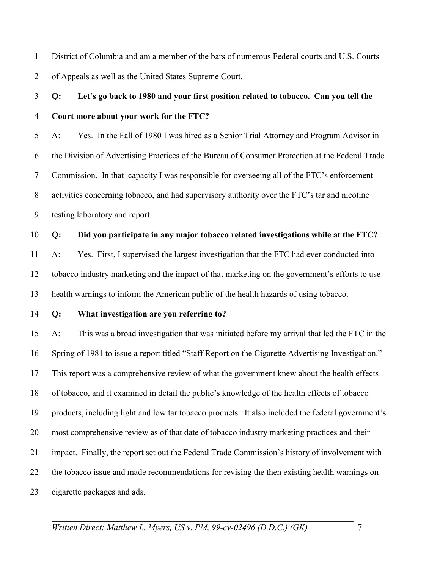1 District of Columbia and am a member of the bars of numerous Federal courts and U.S. Courts 2 of Appeals as well as the United States Supreme Court.

## 3 **Q: Let's go back to 1980 and your first position related to tobacco. Can you tell the**  4 **Court more about your work for the FTC?**

5 A: Yes. In the Fall of 1980 I was hired as a Senior Trial Attorney and Program Advisor in 6 the Division of Advertising Practices of the Bureau of Consumer Protection at the Federal Trade 7 Commission. In that capacity I was responsible for overseeing all of the FTC's enforcement 8 activities concerning tobacco, and had supervisory authority over the FTC's tar and nicotine 9 testing laboratory and report.

### 10 **Q: Did you participate in any major tobacco related investigations while at the FTC?**

11 A: Yes. First, I supervised the largest investigation that the FTC had ever conducted into 12 tobacco industry marketing and the impact of that marketing on the government's efforts to use 13 health warnings to inform the American public of the health hazards of using tobacco.

### 14 **Q: What investigation are you referring to?**

15 A: This was a broad investigation that was initiated before my arrival that led the FTC in the 16 Spring of 1981 to issue a report titled "Staff Report on the Cigarette Advertising Investigation." 17 This report was a comprehensive review of what the government knew about the health effects 18 of tobacco, and it examined in detail the public's knowledge of the health effects of tobacco 19 products, including light and low tar tobacco products. It also included the federal government's 20 most comprehensive review as of that date of tobacco industry marketing practices and their 21 impact. Finally, the report set out the Federal Trade Commission's history of involvement with 22 the tobacco issue and made recommendations for revising the then existing health warnings on 23 cigarette packages and ads.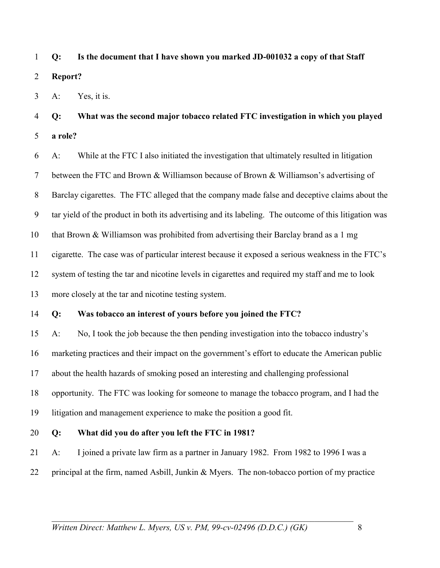1 **Q: Is the document that I have shown you marked JD-001032 a copy of that Staff**  2 **Report?** 

3 A: Yes, it is.

4 **Q: What was the second major tobacco related FTC investigation in which you played**  5 **a role?** 

6 A: While at the FTC I also initiated the investigation that ultimately resulted in litigation 7 between the FTC and Brown & Williamson because of Brown & Williamson's advertising of 8 Barclay cigarettes. The FTC alleged that the company made false and deceptive claims about the 9 tar yield of the product in both its advertising and its labeling. The outcome of this litigation was 10 that Brown & Williamson was prohibited from advertising their Barclay brand as a 1 mg 11 cigarette. The case was of particular interest because it exposed a serious weakness in the FTC's 12 system of testing the tar and nicotine levels in cigarettes and required my staff and me to look 13 more closely at the tar and nicotine testing system.

### 14 **Q: Was tobacco an interest of yours before you joined the FTC?**

15 A: No, I took the job because the then pending investigation into the tobacco industry's 16 marketing practices and their impact on the government's effort to educate the American public 17 about the health hazards of smoking posed an interesting and challenging professional 18 opportunity. The FTC was looking for someone to manage the tobacco program, and I had the 19 litigation and management experience to make the position a good fit.

20 **Q: What did you do after you left the FTC in 1981?** 

21 A: I joined a private law firm as a partner in January 1982. From 1982 to 1996 I was a 22 principal at the firm, named Asbill, Junkin & Myers. The non-tobacco portion of my practice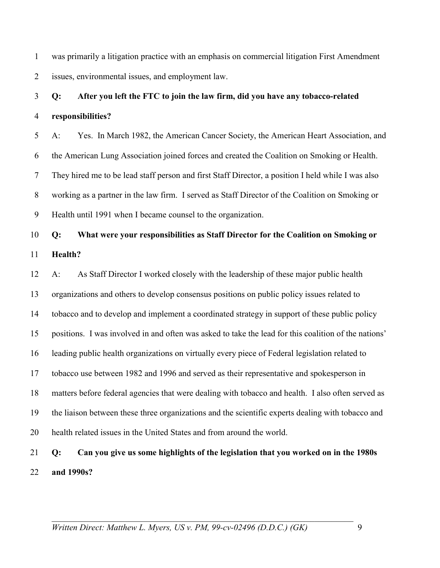1 was primarily a litigation practice with an emphasis on commercial litigation First Amendment 2 issues, environmental issues, and employment law.

## 3 **Q: After you left the FTC to join the law firm, did you have any tobacco-related**  4 **responsibilities?**

5 A: Yes. In March 1982, the American Cancer Society, the American Heart Association, and 6 the American Lung Association joined forces and created the Coalition on Smoking or Health. 7 They hired me to be lead staff person and first Staff Director, a position I held while I was also 8 working as a partner in the law firm. I served as Staff Director of the Coalition on Smoking or 9 Health until 1991 when I became counsel to the organization.

## 10 **Q: What were your responsibilities as Staff Director for the Coalition on Smoking or**  11 **Health?**

12 A: As Staff Director I worked closely with the leadership of these major public health 13 organizations and others to develop consensus positions on public policy issues related to 14 tobacco and to develop and implement a coordinated strategy in support of these public policy 15 positions. I was involved in and often was asked to take the lead for this coalition of the nations' 16 leading public health organizations on virtually every piece of Federal legislation related to 17 tobacco use between 1982 and 1996 and served as their representative and spokesperson in 18 matters before federal agencies that were dealing with tobacco and health. I also often served as 19 the liaison between these three organizations and the scientific experts dealing with tobacco and 20 health related issues in the United States and from around the world.

## 21 **Q: Can you give us some highlights of the legislation that you worked on in the 1980s**  22 **and 1990s?**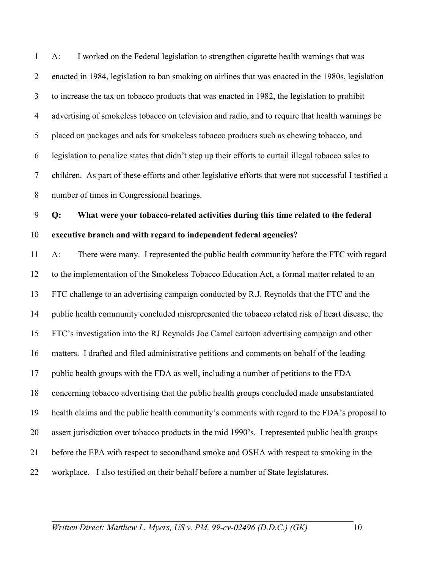1 A: I worked on the Federal legislation to strengthen cigarette health warnings that was 2 enacted in 1984, legislation to ban smoking on airlines that was enacted in the 1980s, legislation 3 to increase the tax on tobacco products that was enacted in 1982, the legislation to prohibit 4 advertising of smokeless tobacco on television and radio, and to require that health warnings be 5 placed on packages and ads for smokeless tobacco products such as chewing tobacco, and 6 legislation to penalize states that didn't step up their efforts to curtail illegal tobacco sales to 7 children. As part of these efforts and other legislative efforts that were not successful I testified a 8 number of times in Congressional hearings.

9 **Q: What were your tobacco-related activities during this time related to the federal**  10 **executive branch and with regard to independent federal agencies?** 

11 A: There were many. I represented the public health community before the FTC with regard 12 to the implementation of the Smokeless Tobacco Education Act, a formal matter related to an 13 FTC challenge to an advertising campaign conducted by R.J. Reynolds that the FTC and the 14 public health community concluded misrepresented the tobacco related risk of heart disease, the 15 FTC's investigation into the RJ Reynolds Joe Camel cartoon advertising campaign and other 16 matters. I drafted and filed administrative petitions and comments on behalf of the leading 17 public health groups with the FDA as well, including a number of petitions to the FDA 18 concerning tobacco advertising that the public health groups concluded made unsubstantiated 19 health claims and the public health community's comments with regard to the FDA's proposal to 20 assert jurisdiction over tobacco products in the mid 1990's. I represented public health groups 21 before the EPA with respect to secondhand smoke and OSHA with respect to smoking in the 22 workplace. I also testified on their behalf before a number of State legislatures.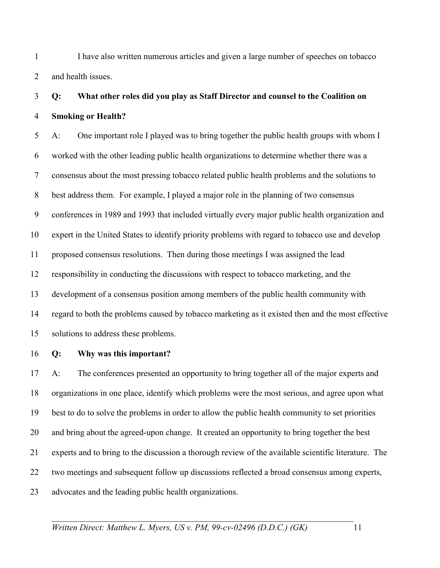1 I have also written numerous articles and given a large number of speeches on tobacco 2 and health issues.

## 3 **Q: What other roles did you play as Staff Director and counsel to the Coalition on**  4 **Smoking or Health?**

5 A: One important role I played was to bring together the public health groups with whom I 6 worked with the other leading public health organizations to determine whether there was a 7 consensus about the most pressing tobacco related public health problems and the solutions to 8 best address them. For example, I played a major role in the planning of two consensus 9 conferences in 1989 and 1993 that included virtually every major public health organization and 10 expert in the United States to identify priority problems with regard to tobacco use and develop 11 proposed consensus resolutions. Then during those meetings I was assigned the lead 12 responsibility in conducting the discussions with respect to tobacco marketing, and the 13 development of a consensus position among members of the public health community with 14 regard to both the problems caused by tobacco marketing as it existed then and the most effective 15 solutions to address these problems.

#### 16 **Q: Why was this important?**

17 A: The conferences presented an opportunity to bring together all of the major experts and 18 organizations in one place, identify which problems were the most serious, and agree upon what 19 best to do to solve the problems in order to allow the public health community to set priorities 20 and bring about the agreed-upon change. It created an opportunity to bring together the best 21 experts and to bring to the discussion a thorough review of the available scientific literature. The 22 two meetings and subsequent follow up discussions reflected a broad consensus among experts, 23 advocates and the leading public health organizations.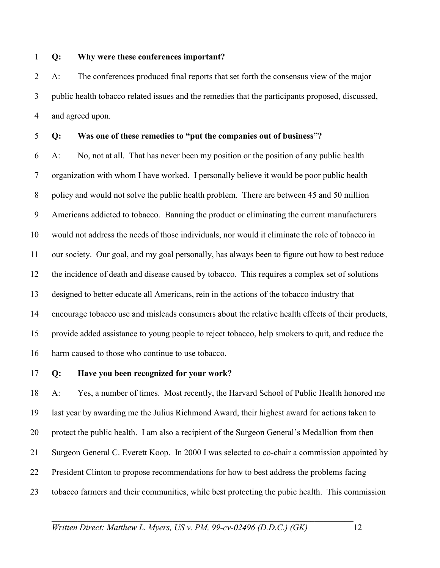### 1 **Q: Why were these conferences important?**

2 A: The conferences produced final reports that set forth the consensus view of the major 3 public health tobacco related issues and the remedies that the participants proposed, discussed, 4 and agreed upon.

### 5 **Q: Was one of these remedies to "put the companies out of business"?**

6 A: No, not at all. That has never been my position or the position of any public health 7 organization with whom I have worked. I personally believe it would be poor public health 8 policy and would not solve the public health problem. There are between 45 and 50 million 9 Americans addicted to tobacco. Banning the product or eliminating the current manufacturers 10 would not address the needs of those individuals, nor would it eliminate the role of tobacco in 11 our society. Our goal, and my goal personally, has always been to figure out how to best reduce 12 the incidence of death and disease caused by tobacco. This requires a complex set of solutions 13 designed to better educate all Americans, rein in the actions of the tobacco industry that 14 encourage tobacco use and misleads consumers about the relative health effects of their products, 15 provide added assistance to young people to reject tobacco, help smokers to quit, and reduce the 16 harm caused to those who continue to use tobacco.

#### 17 **Q: Have you been recognized for your work?**

18 A: Yes, a number of times. Most recently, the Harvard School of Public Health honored me 19 last year by awarding me the Julius Richmond Award, their highest award for actions taken to 20 protect the public health. I am also a recipient of the Surgeon General's Medallion from then 21 Surgeon General C. Everett Koop. In 2000 I was selected to co-chair a commission appointed by 22 President Clinton to propose recommendations for how to best address the problems facing 23 tobacco farmers and their communities, while best protecting the pubic health. This commission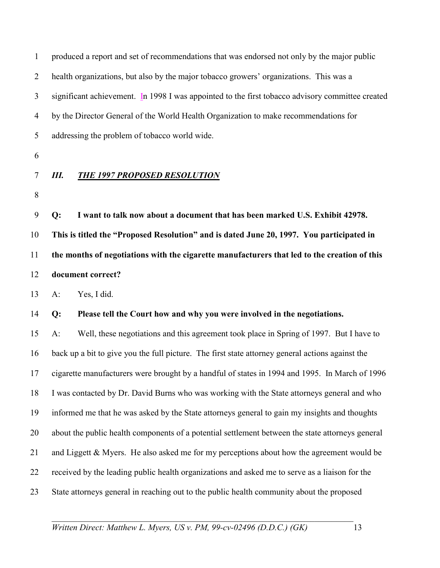| $\mathbf{1}$   |       | produced a report and set of recommendations that was endorsed not only by the major public      |
|----------------|-------|--------------------------------------------------------------------------------------------------|
| $\overline{2}$ |       | health organizations, but also by the major tobacco growers' organizations. This was a           |
| 3              |       | significant achievement. In 1998 I was appointed to the first tobacco advisory committee created |
| 4              |       | by the Director General of the World Health Organization to make recommendations for             |
| 5              |       | addressing the problem of tobacco world wide.                                                    |
| 6              |       |                                                                                                  |
| 7              | Ш.    | <b>THE 1997 PROPOSED RESOLUTION</b>                                                              |
| 8              |       |                                                                                                  |
| 9              | Q:    | I want to talk now about a document that has been marked U.S. Exhibit 42978.                     |
| 10             |       | This is titled the "Proposed Resolution" and is dated June 20, 1997. You participated in         |
| 11             |       | the months of negotiations with the cigarette manufacturers that led to the creation of this     |
| 12             |       | document correct?                                                                                |
| 13             | $A$ : | Yes, I did.                                                                                      |
| 14             | Q:    | Please tell the Court how and why you were involved in the negotiations.                         |
| 15             | $A$ : | Well, these negotiations and this agreement took place in Spring of 1997. But I have to          |
| 16             |       | back up a bit to give you the full picture. The first state attorney general actions against the |
| 17             |       | cigarette manufacturers were brought by a handful of states in 1994 and 1995. In March of 1996   |
| 18             |       | I was contacted by Dr. David Burns who was working with the State attorneys general and who      |
| 19             |       | informed me that he was asked by the State attorneys general to gain my insights and thoughts    |
| 20             |       | about the public health components of a potential settlement between the state attorneys general |
| 21             |       | and Liggett & Myers. He also asked me for my perceptions about how the agreement would be        |
| 22             |       | received by the leading public health organizations and asked me to serve as a liaison for the   |
| 23             |       | State attorneys general in reaching out to the public health community about the proposed        |
|                |       |                                                                                                  |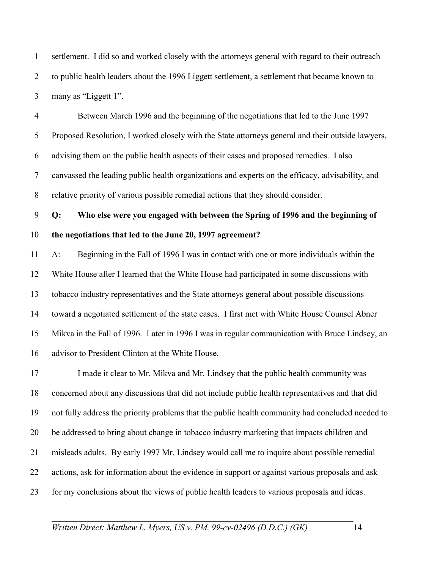1 settlement. I did so and worked closely with the attorneys general with regard to their outreach 2 to public health leaders about the 1996 Liggett settlement, a settlement that became known to 3 many as "Liggett 1".

4 Between March 1996 and the beginning of the negotiations that led to the June 1997 5 Proposed Resolution, I worked closely with the State attorneys general and their outside lawyers, 6 advising them on the public health aspects of their cases and proposed remedies. I also 7 canvassed the leading public health organizations and experts on the efficacy, advisability, and 8 relative priority of various possible remedial actions that they should consider.

9 **Q: Who else were you engaged with between the Spring of 1996 and the beginning of**  10 **the negotiations that led to the June 20, 1997 agreement?** 

11 A: Beginning in the Fall of 1996 I was in contact with one or more individuals within the 12 White House after I learned that the White House had participated in some discussions with 13 tobacco industry representatives and the State attorneys general about possible discussions 14 toward a negotiated settlement of the state cases. I first met with White House Counsel Abner 15 Mikva in the Fall of 1996. Later in 1996 I was in regular communication with Bruce Lindsey, an 16 advisor to President Clinton at the White House.

17 I made it clear to Mr. Mikva and Mr. Lindsey that the public health community was 18 concerned about any discussions that did not include public health representatives and that did 19 not fully address the priority problems that the public health community had concluded needed to 20 be addressed to bring about change in tobacco industry marketing that impacts children and 21 misleads adults. By early 1997 Mr. Lindsey would call me to inquire about possible remedial 22 actions, ask for information about the evidence in support or against various proposals and ask 23 for my conclusions about the views of public health leaders to various proposals and ideas.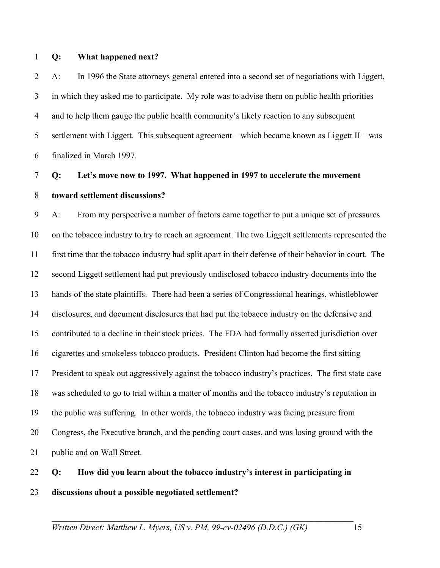#### 1 **Q: What happened next?**

2 A: In 1996 the State attorneys general entered into a second set of negotiations with Liggett, 3 in which they asked me to participate. My role was to advise them on public health priorities 4 and to help them gauge the public health community's likely reaction to any subsequent 5 settlement with Liggett. This subsequent agreement – which became known as Liggett II – was 6 finalized in March 1997.

## 7 **Q: Let's move now to 1997. What happened in 1997 to accelerate the movement**  8 **toward settlement discussions?**

9 A: From my perspective a number of factors came together to put a unique set of pressures 10 on the tobacco industry to try to reach an agreement. The two Liggett settlements represented the 11 first time that the tobacco industry had split apart in their defense of their behavior in court. The 12 second Liggett settlement had put previously undisclosed tobacco industry documents into the 13 hands of the state plaintiffs. There had been a series of Congressional hearings, whistleblower 14 disclosures, and document disclosures that had put the tobacco industry on the defensive and 15 contributed to a decline in their stock prices. The FDA had formally asserted jurisdiction over 16 cigarettes and smokeless tobacco products. President Clinton had become the first sitting 17 President to speak out aggressively against the tobacco industry's practices. The first state case 18 was scheduled to go to trial within a matter of months and the tobacco industry's reputation in 19 the public was suffering. In other words, the tobacco industry was facing pressure from 20 Congress, the Executive branch, and the pending court cases, and was losing ground with the 21 public and on Wall Street.

## 22 **Q: How did you learn about the tobacco industry's interest in participating in**  23 **discussions about a possible negotiated settlement?**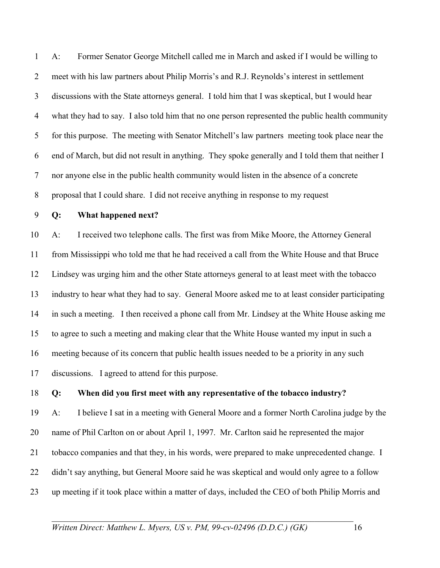1 A: Former Senator George Mitchell called me in March and asked if I would be willing to 2 meet with his law partners about Philip Morris's and R.J. Reynolds's interest in settlement 3 discussions with the State attorneys general. I told him that I was skeptical, but I would hear 4 what they had to say. I also told him that no one person represented the public health community 5 for this purpose. The meeting with Senator Mitchell's law partners meeting took place near the 6 end of March, but did not result in anything. They spoke generally and I told them that neither I 7 nor anyone else in the public health community would listen in the absence of a concrete 8 proposal that I could share. I did not receive anything in response to my request

### 9 **Q: What happened next?**

10 A: I received two telephone calls. The first was from Mike Moore, the Attorney General 11 from Mississippi who told me that he had received a call from the White House and that Bruce 12 Lindsey was urging him and the other State attorneys general to at least meet with the tobacco 13 industry to hear what they had to say. General Moore asked me to at least consider participating 14 in such a meeting. I then received a phone call from Mr. Lindsey at the White House asking me 15 to agree to such a meeting and making clear that the White House wanted my input in such a 16 meeting because of its concern that public health issues needed to be a priority in any such 17 discussions. I agreed to attend for this purpose.

18 **Q: When did you first meet with any representative of the tobacco industry?** 

19 A: I believe I sat in a meeting with General Moore and a former North Carolina judge by the 20 name of Phil Carlton on or about April 1, 1997. Mr. Carlton said he represented the major 21 tobacco companies and that they, in his words, were prepared to make unprecedented change. I 22 didn't say anything, but General Moore said he was skeptical and would only agree to a follow 23 up meeting if it took place within a matter of days, included the CEO of both Philip Morris and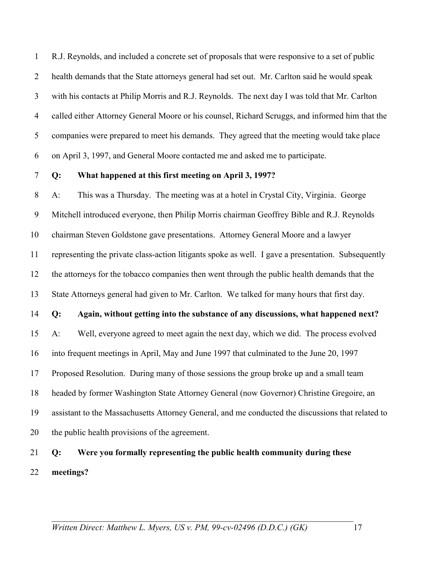1 R.J. Reynolds, and included a concrete set of proposals that were responsive to a set of public 2 health demands that the State attorneys general had set out. Mr. Carlton said he would speak 3 with his contacts at Philip Morris and R.J. Reynolds. The next day I was told that Mr. Carlton 4 called either Attorney General Moore or his counsel, Richard Scruggs, and informed him that the 5 companies were prepared to meet his demands. They agreed that the meeting would take place 6 on April 3, 1997, and General Moore contacted me and asked me to participate.

### 7 **Q: What happened at this first meeting on April 3, 1997?**

8 A: This was a Thursday. The meeting was at a hotel in Crystal City, Virginia. George 9 Mitchell introduced everyone, then Philip Morris chairman Geoffrey Bible and R.J. Reynolds 10 chairman Steven Goldstone gave presentations. Attorney General Moore and a lawyer 11 representing the private class-action litigants spoke as well. I gave a presentation. Subsequently 12 the attorneys for the tobacco companies then went through the public health demands that the 13 State Attorneys general had given to Mr. Carlton. We talked for many hours that first day. 14 **Q: Again, without getting into the substance of any discussions, what happened next?**  15 A: Well, everyone agreed to meet again the next day, which we did. The process evolved 16 into frequent meetings in April, May and June 1997 that culminated to the June 20, 1997 17 Proposed Resolution. During many of those sessions the group broke up and a small team 18 headed by former Washington State Attorney General (now Governor) Christine Gregoire, an 19 assistant to the Massachusetts Attorney General, and me conducted the discussions that related to 20 the public health provisions of the agreement.

## 21 **Q: Were you formally representing the public health community during these**  22 **meetings?**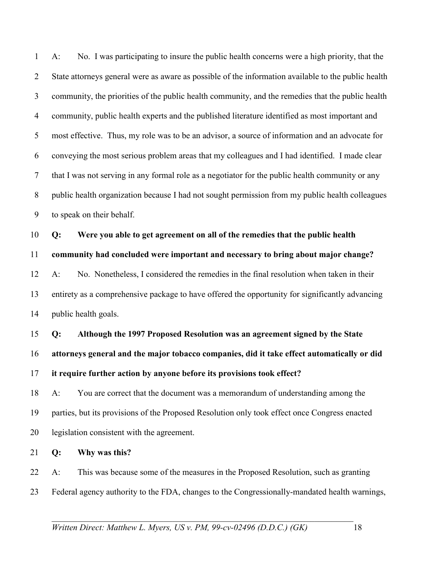1 A: No. I was participating to insure the public health concerns were a high priority, that the 2 State attorneys general were as aware as possible of the information available to the public health 3 community, the priorities of the public health community, and the remedies that the public health 4 community, public health experts and the published literature identified as most important and 5 most effective. Thus, my role was to be an advisor, a source of information and an advocate for 6 conveying the most serious problem areas that my colleagues and I had identified. I made clear 7 that I was not serving in any formal role as a negotiator for the public health community or any 8 public health organization because I had not sought permission from my public health colleagues 9 to speak on their behalf.

10 **Q: Were you able to get agreement on all of the remedies that the public health** 

11 **community had concluded were important and necessary to bring about major change?** 

12 A: No. Nonetheless, I considered the remedies in the final resolution when taken in their 13 entirety as a comprehensive package to have offered the opportunity for significantly advancing 14 public health goals.

**Q: Although the 1997 Proposed Resolution was an agreement signed by the State attorneys general and the major tobacco companies, did it take effect automatically or did it require further action by anyone before its provisions took effect?**  18 A: You are correct that the document was a memorandum of understanding among the

19 parties, but its provisions of the Proposed Resolution only took effect once Congress enacted 20 legislation consistent with the agreement.

21 **Q: Why was this?** 

22 A: This was because some of the measures in the Proposed Resolution, such as granting 23 Federal agency authority to the FDA, changes to the Congressionally-mandated health warnings,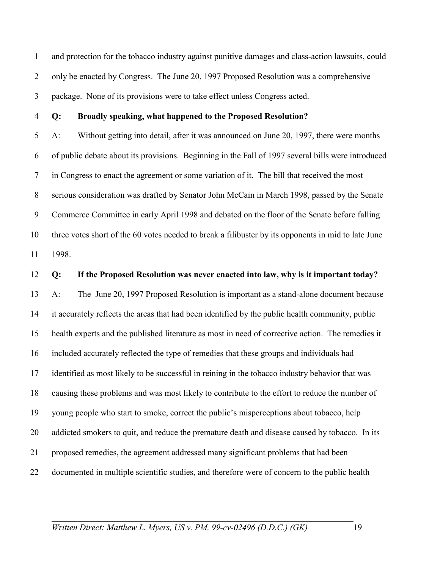1 and protection for the tobacco industry against punitive damages and class-action lawsuits, could 2 only be enacted by Congress. The June 20, 1997 Proposed Resolution was a comprehensive 3 package. None of its provisions were to take effect unless Congress acted.

#### 4 **Q: Broadly speaking, what happened to the Proposed Resolution?**

5 A: Without getting into detail, after it was announced on June 20, 1997, there were months 6 of public debate about its provisions. Beginning in the Fall of 1997 several bills were introduced 7 in Congress to enact the agreement or some variation of it. The bill that received the most 8 serious consideration was drafted by Senator John McCain in March 1998, passed by the Senate 9 Commerce Committee in early April 1998 and debated on the floor of the Senate before falling 10 three votes short of the 60 votes needed to break a filibuster by its opponents in mid to late June 11 1998.

12 **Q: If the Proposed Resolution was never enacted into law, why is it important today?** 

13 A: The June 20, 1997 Proposed Resolution is important as a stand-alone document because 14 it accurately reflects the areas that had been identified by the public health community, public 15 health experts and the published literature as most in need of corrective action. The remedies it 16 included accurately reflected the type of remedies that these groups and individuals had 17 identified as most likely to be successful in reining in the tobacco industry behavior that was 18 causing these problems and was most likely to contribute to the effort to reduce the number of 19 young people who start to smoke, correct the public's misperceptions about tobacco, help 20 addicted smokers to quit, and reduce the premature death and disease caused by tobacco. In its 21 proposed remedies, the agreement addressed many significant problems that had been 22 documented in multiple scientific studies, and therefore were of concern to the public health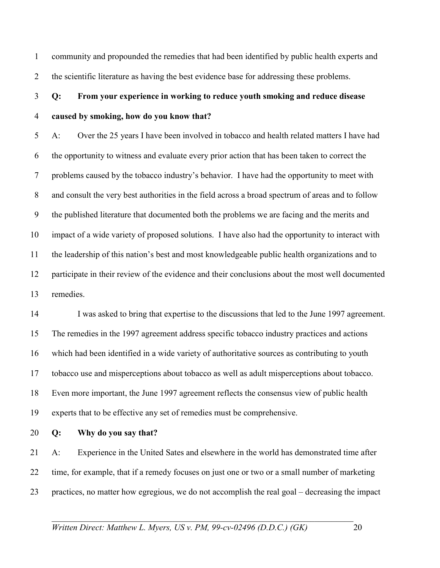1 community and propounded the remedies that had been identified by public health experts and 2 the scientific literature as having the best evidence base for addressing these problems.

## 3 **Q: From your experience in working to reduce youth smoking and reduce disease**  4 **caused by smoking, how do you know that?**

5 A: Over the 25 years I have been involved in tobacco and health related matters I have had 6 the opportunity to witness and evaluate every prior action that has been taken to correct the 7 problems caused by the tobacco industry's behavior. I have had the opportunity to meet with 8 and consult the very best authorities in the field across a broad spectrum of areas and to follow 9 the published literature that documented both the problems we are facing and the merits and 10 impact of a wide variety of proposed solutions. I have also had the opportunity to interact with 11 the leadership of this nation's best and most knowledgeable public health organizations and to 12 participate in their review of the evidence and their conclusions about the most well documented 13 remedies.

14 I was asked to bring that expertise to the discussions that led to the June 1997 agreement. 15 The remedies in the 1997 agreement address specific tobacco industry practices and actions 16 which had been identified in a wide variety of authoritative sources as contributing to youth 17 tobacco use and misperceptions about tobacco as well as adult misperceptions about tobacco. 18 Even more important, the June 1997 agreement reflects the consensus view of public health 19 experts that to be effective any set of remedies must be comprehensive.

20 **Q: Why do you say that?** 

21 A: Experience in the United Sates and elsewhere in the world has demonstrated time after 22 time, for example, that if a remedy focuses on just one or two or a small number of marketing 23 practices, no matter how egregious, we do not accomplish the real goal – decreasing the impact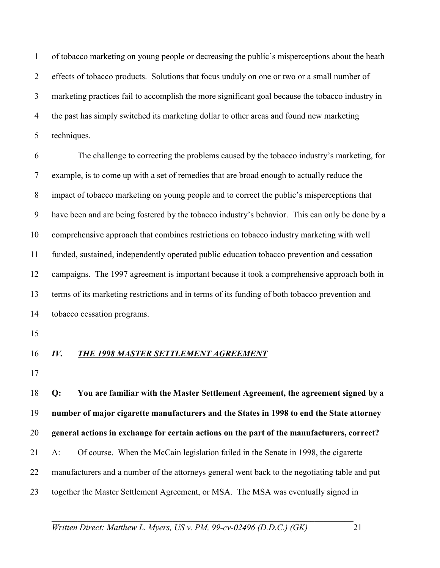1 of tobacco marketing on young people or decreasing the public's misperceptions about the heath 2 effects of tobacco products. Solutions that focus unduly on one or two or a small number of 3 marketing practices fail to accomplish the more significant goal because the tobacco industry in 4 the past has simply switched its marketing dollar to other areas and found new marketing 5 techniques.

6 The challenge to correcting the problems caused by the tobacco industry's marketing, for 7 example, is to come up with a set of remedies that are broad enough to actually reduce the 8 impact of tobacco marketing on young people and to correct the public's misperceptions that 9 have been and are being fostered by the tobacco industry's behavior. This can only be done by a 10 comprehensive approach that combines restrictions on tobacco industry marketing with well 11 funded, sustained, independently operated public education tobacco prevention and cessation 12 campaigns. The 1997 agreement is important because it took a comprehensive approach both in 13 terms of its marketing restrictions and in terms of its funding of both tobacco prevention and 14 tobacco cessation programs.

15

### 16 *IV. THE 1998 MASTER SETTLEMENT AGREEMENT*

17

18 **Q: You are familiar with the Master Settlement Agreement, the agreement signed by a**  19 **number of major cigarette manufacturers and the States in 1998 to end the State attorney**  20 **general actions in exchange for certain actions on the part of the manufacturers, correct?**  21 A: Of course. When the McCain legislation failed in the Senate in 1998, the cigarette 22 manufacturers and a number of the attorneys general went back to the negotiating table and put 23 together the Master Settlement Agreement, or MSA. The MSA was eventually signed in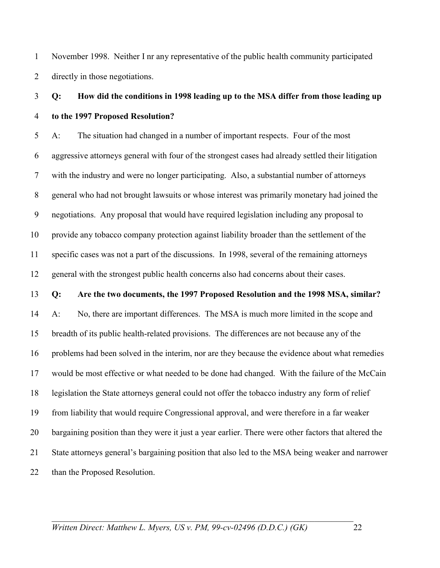1 November 1998. Neither I nr any representative of the public health community participated 2 directly in those negotiations.

## 3 **Q: How did the conditions in 1998 leading up to the MSA differ from those leading up**  4 **to the 1997 Proposed Resolution?**

5 A: The situation had changed in a number of important respects. Four of the most 6 aggressive attorneys general with four of the strongest cases had already settled their litigation 7 with the industry and were no longer participating. Also, a substantial number of attorneys 8 general who had not brought lawsuits or whose interest was primarily monetary had joined the 9 negotiations. Any proposal that would have required legislation including any proposal to 10 provide any tobacco company protection against liability broader than the settlement of the 11 specific cases was not a part of the discussions. In 1998, several of the remaining attorneys 12 general with the strongest public health concerns also had concerns about their cases.

#### 13 **Q: Are the two documents, the 1997 Proposed Resolution and the 1998 MSA, similar?**

14 A: No, there are important differences. The MSA is much more limited in the scope and 15 breadth of its public health-related provisions. The differences are not because any of the 16 problems had been solved in the interim, nor are they because the evidence about what remedies 17 would be most effective or what needed to be done had changed. With the failure of the McCain 18 legislation the State attorneys general could not offer the tobacco industry any form of relief 19 from liability that would require Congressional approval, and were therefore in a far weaker 20 bargaining position than they were it just a year earlier. There were other factors that altered the 21 State attorneys general's bargaining position that also led to the MSA being weaker and narrower 22 than the Proposed Resolution.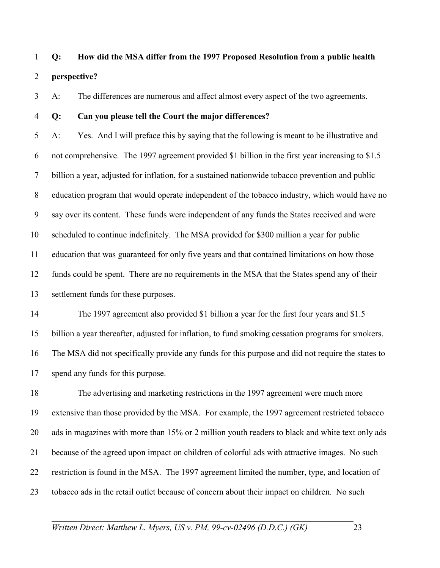## 1 **Q: How did the MSA differ from the 1997 Proposed Resolution from a public health**  2 **perspective?**

3 A: The differences are numerous and affect almost every aspect of the two agreements.

4 **Q: Can you please tell the Court the major differences?** 

5 A: Yes. And I will preface this by saying that the following is meant to be illustrative and 6 not comprehensive. The 1997 agreement provided \$1 billion in the first year increasing to \$1.5 7 billion a year, adjusted for inflation, for a sustained nationwide tobacco prevention and public 8 education program that would operate independent of the tobacco industry, which would have no 9 say over its content. These funds were independent of any funds the States received and were 10 scheduled to continue indefinitely. The MSA provided for \$300 million a year for public 11 education that was guaranteed for only five years and that contained limitations on how those 12 funds could be spent. There are no requirements in the MSA that the States spend any of their 13 settlement funds for these purposes.

14 The 1997 agreement also provided \$1 billion a year for the first four years and \$1.5 15 billion a year thereafter, adjusted for inflation, to fund smoking cessation programs for smokers. 16 The MSA did not specifically provide any funds for this purpose and did not require the states to 17 spend any funds for this purpose.

18 The advertising and marketing restrictions in the 1997 agreement were much more 19 extensive than those provided by the MSA. For example, the 1997 agreement restricted tobacco 20 ads in magazines with more than 15% or 2 million youth readers to black and white text only ads 21 because of the agreed upon impact on children of colorful ads with attractive images. No such 22 restriction is found in the MSA. The 1997 agreement limited the number, type, and location of 23 tobacco ads in the retail outlet because of concern about their impact on children. No such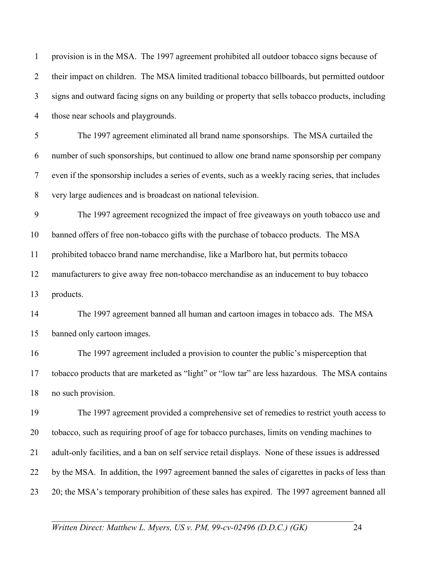1 provision is in the MSA. The 1997 agreement prohibited all outdoor tobacco signs because of 2 their impact on children. The MSA limited traditional tobacco billboards, but permitted outdoor 3 signs and outward facing signs on any building or property that sells tobacco products, including 4 those near schools and playgrounds. 5 The 1997 agreement eliminated all brand name sponsorships. The MSA curtailed the 6 number of such sponsorships, but continued to allow one brand name sponsorship per company 7 even if the sponsorship includes a series of events, such as a weekly racing series, that includes 8 very large audiences and is broadcast on national television. 9 The 1997 agreement recognized the impact of free giveaways on youth tobacco use and 10 banned offers of free non-tobacco gifts with the purchase of tobacco products. The MSA 11 prohibited tobacco brand name merchandise, like a Marlboro hat, but permits tobacco 12 manufacturers to give away free non-tobacco merchandise as an inducement to buy tobacco 13 products. 14 The 1997 agreement banned all human and cartoon images in tobacco ads. The MSA 15 banned only cartoon images. 16 The 1997 agreement included a provision to counter the public's misperception that 17 tobacco products that are marketed as "light" or "low tar" are less hazardous. The MSA contains 18 no such provision. 19 The 1997 agreement provided a comprehensive set of remedies to restrict youth access to 20 tobacco, such as requiring proof of age for tobacco purchases, limits on vending machines to 21 adult-only facilities, and a ban on self service retail displays. None of these issues is addressed 22 by the MSA. In addition, the 1997 agreement banned the sales of cigarettes in packs of less than 23 20; the MSA's temporary prohibition of these sales has expired. The 1997 agreement banned all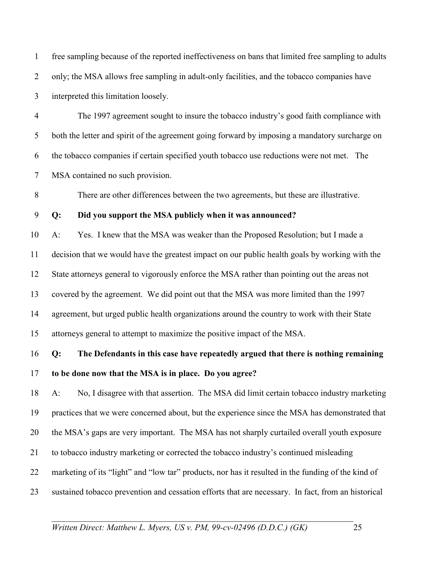1 free sampling because of the reported ineffectiveness on bans that limited free sampling to adults 2 only; the MSA allows free sampling in adult-only facilities, and the tobacco companies have 3 interpreted this limitation loosely.

4 The 1997 agreement sought to insure the tobacco industry's good faith compliance with 5 both the letter and spirit of the agreement going forward by imposing a mandatory surcharge on 6 the tobacco companies if certain specified youth tobacco use reductions were not met. The 7 MSA contained no such provision.

8 There are other differences between the two agreements, but these are illustrative.

### 9 **Q: Did you support the MSA publicly when it was announced?**

10 A: Yes. I knew that the MSA was weaker than the Proposed Resolution; but I made a 11 decision that we would have the greatest impact on our public health goals by working with the 12 State attorneys general to vigorously enforce the MSA rather than pointing out the areas not 13 covered by the agreement. We did point out that the MSA was more limited than the 1997 14 agreement, but urged public health organizations around the country to work with their State 15 attorneys general to attempt to maximize the positive impact of the MSA.

16 **Q: The Defendants in this case have repeatedly argued that there is nothing remaining**  17 **to be done now that the MSA is in place. Do you agree?** 

18 A: No, I disagree with that assertion. The MSA did limit certain tobacco industry marketing 19 practices that we were concerned about, but the experience since the MSA has demonstrated that 20 the MSA's gaps are very important. The MSA has not sharply curtailed overall youth exposure 21 to tobacco industry marketing or corrected the tobacco industry's continued misleading 22 marketing of its "light" and "low tar" products, nor has it resulted in the funding of the kind of 23 sustained tobacco prevention and cessation efforts that are necessary. In fact, from an historical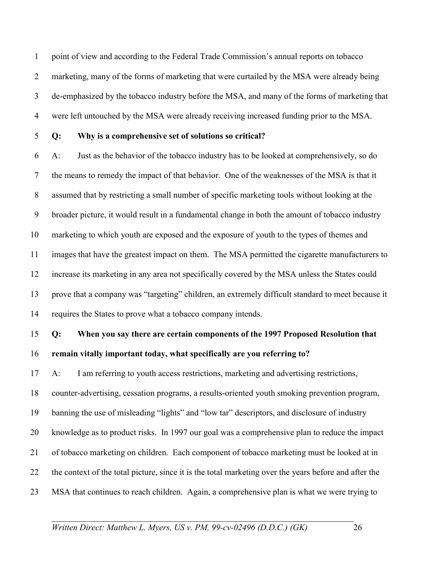1 point of view and according to the Federal Trade Commission's annual reports on tobacco 2 marketing, many of the forms of marketing that were curtailed by the MSA were already being 3 de-emphasized by the tobacco industry before the MSA, and many of the forms of marketing that 4 were left untouched by the MSA were already receiving increased funding prior to the MSA.

### 5 **Q: Why is a comprehensive set of solutions so critical?**

6 A: Just as the behavior of the tobacco industry has to be looked at comprehensively, so do 7 the means to remedy the impact of that behavior. One of the weaknesses of the MSA is that it 8 assumed that by restricting a small number of specific marketing tools without looking at the 9 broader picture, it would result in a fundamental change in both the amount of tobacco industry 10 marketing to which youth are exposed and the exposure of youth to the types of themes and 11 images that have the greatest impact on them. The MSA permitted the cigarette manufacturers to 12 increase its marketing in any area not specifically covered by the MSA unless the States could 13 prove that a company was "targeting" children, an extremely difficult standard to meet because it 14 requires the States to prove what a tobacco company intends.

15 **Q: When you say there are certain components of the 1997 Proposed Resolution that**  16 **remain vitally important today, what specifically are you referring to?** 

17 A: I am referring to youth access restrictions, marketing and advertising restrictions, 18 counter-advertising, cessation programs, a results-oriented youth smoking prevention program, 19 banning the use of misleading "lights" and "low tar" descriptors, and disclosure of industry 20 knowledge as to product risks. In 1997 our goal was a comprehensive plan to reduce the impact 21 of tobacco marketing on children. Each component of tobacco marketing must be looked at in 22 the context of the total picture, since it is the total marketing over the years before and after the 23 MSA that continues to reach children. Again, a comprehensive plan is what we were trying to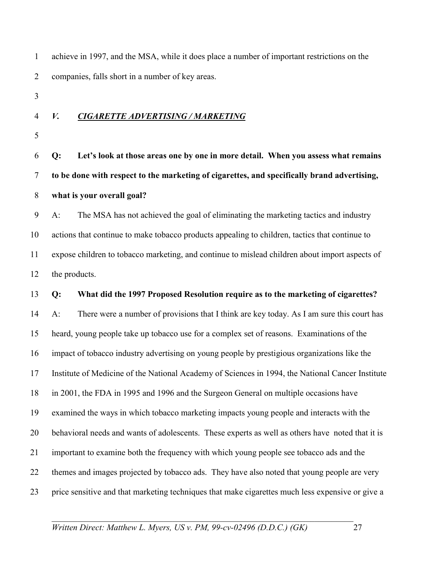| $\mathbf{1}$   |       | achieve in 1997, and the MSA, while it does place a number of important restrictions on the      |
|----------------|-------|--------------------------------------------------------------------------------------------------|
| $\overline{2}$ |       | companies, falls short in a number of key areas.                                                 |
| 3              |       |                                                                                                  |
| $\overline{4}$ | V.    | <b>CIGARETTE ADVERTISING / MARKETING</b>                                                         |
| 5              |       |                                                                                                  |
| 6              | Q:    | Let's look at those areas one by one in more detail. When you assess what remains                |
| 7              |       | to be done with respect to the marketing of cigarettes, and specifically brand advertising,      |
| $8\phantom{.}$ |       | what is your overall goal?                                                                       |
| 9              | $A$ : | The MSA has not achieved the goal of eliminating the marketing tactics and industry              |
| 10             |       | actions that continue to make tobacco products appealing to children, tactics that continue to   |
| 11             |       | expose children to tobacco marketing, and continue to mislead children about import aspects of   |
| 12             |       | the products.                                                                                    |
| 13             | Q:    | What did the 1997 Proposed Resolution require as to the marketing of cigarettes?                 |
| 14             | $A$ : | There were a number of provisions that I think are key today. As I am sure this court has        |
| 15             |       | heard, young people take up tobacco use for a complex set of reasons. Examinations of the        |
| 16             |       | impact of tobacco industry advertising on young people by prestigious organizations like the     |
| 17             |       | Institute of Medicine of the National Academy of Sciences in 1994, the National Cancer Institute |
| 18             |       | in 2001, the FDA in 1995 and 1996 and the Surgeon General on multiple occasions have             |
| 19             |       | examined the ways in which tobacco marketing impacts young people and interacts with the         |
| 20             |       | behavioral needs and wants of adolescents. These experts as well as others have noted that it is |
| 21             |       | important to examine both the frequency with which young people see tobacco ads and the          |
| 22             |       | themes and images projected by tobacco ads. They have also noted that young people are very      |
| 23             |       | price sensitive and that marketing techniques that make cigarettes much less expensive or give a |
|                |       |                                                                                                  |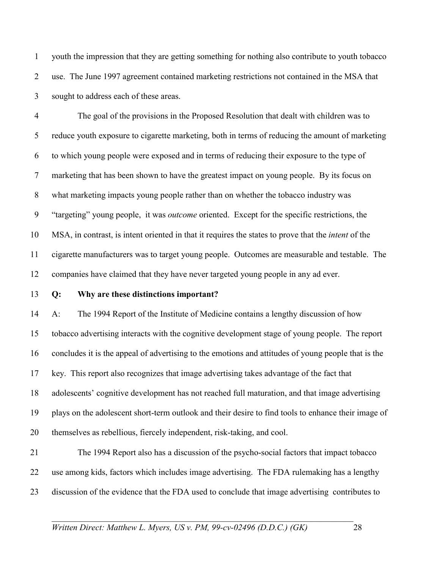1 youth the impression that they are getting something for nothing also contribute to youth tobacco 2 use. The June 1997 agreement contained marketing restrictions not contained in the MSA that 3 sought to address each of these areas.

4 The goal of the provisions in the Proposed Resolution that dealt with children was to 5 reduce youth exposure to cigarette marketing, both in terms of reducing the amount of marketing 6 to which young people were exposed and in terms of reducing their exposure to the type of 7 marketing that has been shown to have the greatest impact on young people. By its focus on 8 what marketing impacts young people rather than on whether the tobacco industry was 9 "targeting" young people, it was *outcome* oriented. Except for the specific restrictions, the 10 MSA, in contrast, is intent oriented in that it requires the states to prove that the *intent* of the 11 cigarette manufacturers was to target young people. Outcomes are measurable and testable. The 12 companies have claimed that they have never targeted young people in any ad ever.

#### 13 **Q: Why are these distinctions important?**

14 A: The 1994 Report of the Institute of Medicine contains a lengthy discussion of how 15 tobacco advertising interacts with the cognitive development stage of young people. The report 16 concludes it is the appeal of advertising to the emotions and attitudes of young people that is the 17 key. This report also recognizes that image advertising takes advantage of the fact that 18 adolescents' cognitive development has not reached full maturation, and that image advertising 19 plays on the adolescent short-term outlook and their desire to find tools to enhance their image of 20 themselves as rebellious, fiercely independent, risk-taking, and cool.

21 The 1994 Report also has a discussion of the psycho-social factors that impact tobacco 22 use among kids, factors which includes image advertising. The FDA rulemaking has a lengthy 23 discussion of the evidence that the FDA used to conclude that image advertising contributes to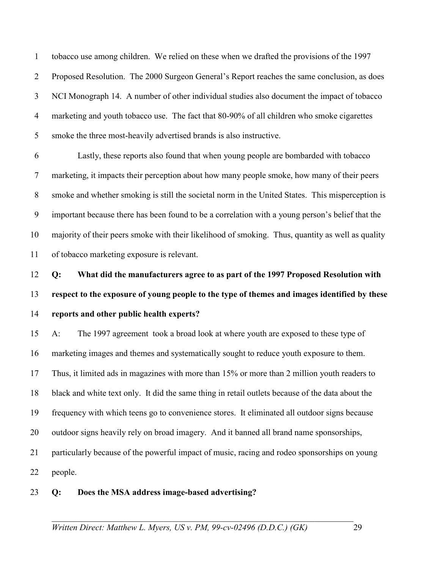1 tobacco use among children. We relied on these when we drafted the provisions of the 1997 2 Proposed Resolution. The 2000 Surgeon General's Report reaches the same conclusion, as does 3 NCI Monograph 14. A number of other individual studies also document the impact of tobacco 4 marketing and youth tobacco use. The fact that 80-90% of all children who smoke cigarettes 5 smoke the three most-heavily advertised brands is also instructive.

6 Lastly, these reports also found that when young people are bombarded with tobacco 7 marketing, it impacts their perception about how many people smoke, how many of their peers 8 smoke and whether smoking is still the societal norm in the United States. This misperception is 9 important because there has been found to be a correlation with a young person's belief that the 10 majority of their peers smoke with their likelihood of smoking. Thus, quantity as well as quality 11 of tobacco marketing exposure is relevant.

12 **Q: What did the manufacturers agree to as part of the 1997 Proposed Resolution with**  13 **respect to the exposure of young people to the type of themes and images identified by these**  14 **reports and other public health experts?** 

15 A: The 1997 agreement took a broad look at where youth are exposed to these type of 16 marketing images and themes and systematically sought to reduce youth exposure to them. 17 Thus, it limited ads in magazines with more than 15% or more than 2 million youth readers to 18 black and white text only. It did the same thing in retail outlets because of the data about the 19 frequency with which teens go to convenience stores. It eliminated all outdoor signs because 20 outdoor signs heavily rely on broad imagery. And it banned all brand name sponsorships, 21 particularly because of the powerful impact of music, racing and rodeo sponsorships on young 22 people.

### 23 **Q: Does the MSA address image-based advertising?**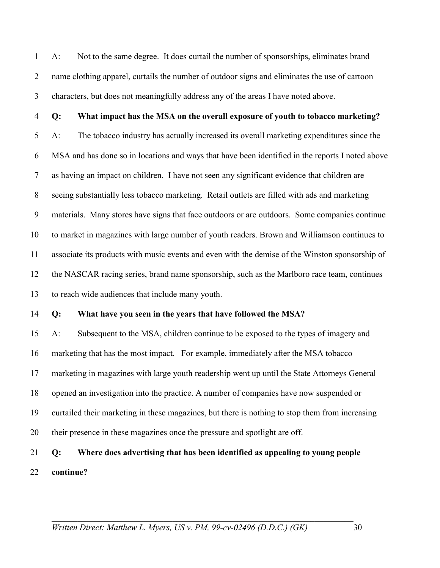1 A: Not to the same degree. It does curtail the number of sponsorships, eliminates brand 2 name clothing apparel, curtails the number of outdoor signs and eliminates the use of cartoon 3 characters, but does not meaningfully address any of the areas I have noted above.

4 **Q: What impact has the MSA on the overall exposure of youth to tobacco marketing?**  5 A: The tobacco industry has actually increased its overall marketing expenditures since the 6 MSA and has done so in locations and ways that have been identified in the reports I noted above 7 as having an impact on children. I have not seen any significant evidence that children are 8 seeing substantially less tobacco marketing. Retail outlets are filled with ads and marketing 9 materials. Many stores have signs that face outdoors or are outdoors. Some companies continue 10 to market in magazines with large number of youth readers. Brown and Williamson continues to 11 associate its products with music events and even with the demise of the Winston sponsorship of 12 the NASCAR racing series, brand name sponsorship, such as the Marlboro race team, continues 13 to reach wide audiences that include many youth.

### 14 **Q: What have you seen in the years that have followed the MSA?**

15 A: Subsequent to the MSA, children continue to be exposed to the types of imagery and 16 marketing that has the most impact. For example, immediately after the MSA tobacco 17 marketing in magazines with large youth readership went up until the State Attorneys General 18 opened an investigation into the practice. A number of companies have now suspended or 19 curtailed their marketing in these magazines, but there is nothing to stop them from increasing 20 their presence in these magazines once the pressure and spotlight are off.

## 21 **Q: Where does advertising that has been identified as appealing to young people**  22 **continue?**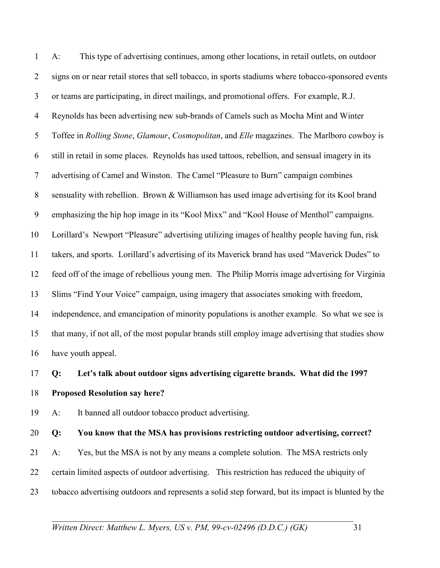1 A: This type of advertising continues, among other locations, in retail outlets, on outdoor 2 signs on or near retail stores that sell tobacco, in sports stadiums where tobacco-sponsored events 3 or teams are participating, in direct mailings, and promotional offers. For example, R.J. 4 Reynolds has been advertising new sub-brands of Camels such as Mocha Mint and Winter 5 Toffee in *Rolling Stone*, *Glamour*, *Cosmopolitan*, and *Elle* magazines. The Marlboro cowboy is 6 still in retail in some places. Reynolds has used tattoos, rebellion, and sensual imagery in its 7 advertising of Camel and Winston. The Camel "Pleasure to Burn" campaign combines 8 sensuality with rebellion. Brown & Williamson has used image advertising for its Kool brand 9 emphasizing the hip hop image in its "Kool Mixx" and "Kool House of Menthol" campaigns. 10 Lorillard's Newport "Pleasure" advertising utilizing images of healthy people having fun, risk 11 takers, and sports. Lorillard's advertising of its Maverick brand has used "Maverick Dudes" to 12 feed off of the image of rebellious young men. The Philip Morris image advertising for Virginia 13 Slims "Find Your Voice" campaign, using imagery that associates smoking with freedom, 14 independence, and emancipation of minority populations is another example. So what we see is 15 that many, if not all, of the most popular brands still employ image advertising that studies show 16 have youth appeal.

#### 17 **Q: Let's talk about outdoor signs advertising cigarette brands. What did the 1997**

#### 18 **Proposed Resolution say here?**

19 A: It banned all outdoor tobacco product advertising.

# 20 **Q: You know that the MSA has provisions restricting outdoor advertising, correct?**

21 A: Yes, but the MSA is not by any means a complete solution. The MSA restricts only 22 certain limited aspects of outdoor advertising. This restriction has reduced the ubiquity of 23 tobacco advertising outdoors and represents a solid step forward, but its impact is blunted by the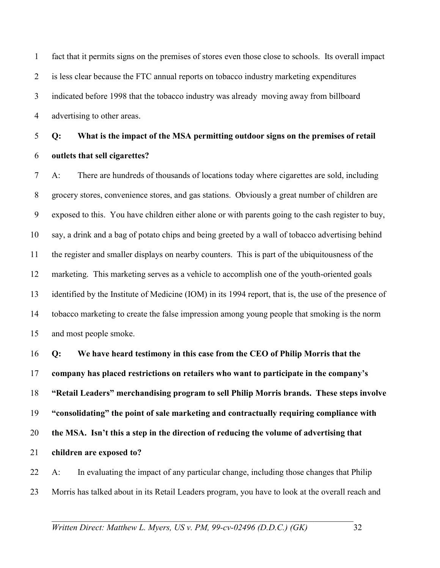1 fact that it permits signs on the premises of stores even those close to schools. Its overall impact 2 is less clear because the FTC annual reports on tobacco industry marketing expenditures 3 indicated before 1998 that the tobacco industry was already moving away from billboard 4 advertising to other areas.

5 **Q: What is the impact of the MSA permitting outdoor signs on the premises of retail**  6 **outlets that sell cigarettes?** 

7 A: There are hundreds of thousands of locations today where cigarettes are sold, including 8 grocery stores, convenience stores, and gas stations. Obviously a great number of children are 9 exposed to this. You have children either alone or with parents going to the cash register to buy, 10 say, a drink and a bag of potato chips and being greeted by a wall of tobacco advertising behind 11 the register and smaller displays on nearby counters. This is part of the ubiquitousness of the 12 marketing. This marketing serves as a vehicle to accomplish one of the youth-oriented goals 13 identified by the Institute of Medicine (IOM) in its 1994 report, that is, the use of the presence of 14 tobacco marketing to create the false impression among young people that smoking is the norm 15 and most people smoke.

**Q: We have heard testimony in this case from the CEO of Philip Morris that the company has placed restrictions on retailers who want to participate in the company's "Retail Leaders" merchandising program to sell Philip Morris brands. These steps involve "consolidating" the point of sale marketing and contractually requiring compliance with the MSA. Isn't this a step in the direction of reducing the volume of advertising that children are exposed to?** 

22 A: In evaluating the impact of any particular change, including those changes that Philip 23 Morris has talked about in its Retail Leaders program, you have to look at the overall reach and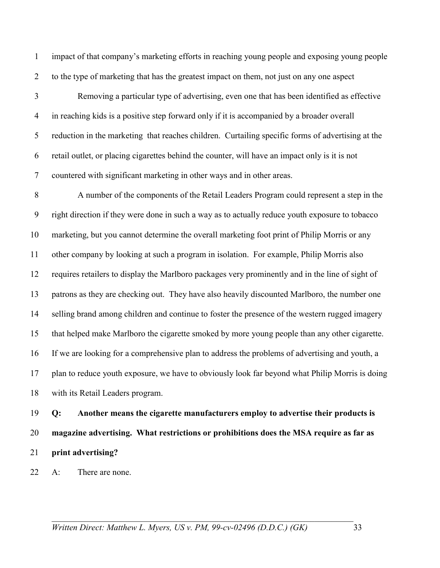1 impact of that company's marketing efforts in reaching young people and exposing young people 2 to the type of marketing that has the greatest impact on them, not just on any one aspect

3 Removing a particular type of advertising, even one that has been identified as effective 4 in reaching kids is a positive step forward only if it is accompanied by a broader overall 5 reduction in the marketing that reaches children. Curtailing specific forms of advertising at the 6 retail outlet, or placing cigarettes behind the counter, will have an impact only is it is not 7 countered with significant marketing in other ways and in other areas.

8 A number of the components of the Retail Leaders Program could represent a step in the 9 right direction if they were done in such a way as to actually reduce youth exposure to tobacco 10 marketing, but you cannot determine the overall marketing foot print of Philip Morris or any 11 other company by looking at such a program in isolation. For example, Philip Morris also 12 requires retailers to display the Marlboro packages very prominently and in the line of sight of 13 patrons as they are checking out. They have also heavily discounted Marlboro, the number one 14 selling brand among children and continue to foster the presence of the western rugged imagery 15 that helped make Marlboro the cigarette smoked by more young people than any other cigarette. 16 If we are looking for a comprehensive plan to address the problems of advertising and youth, a 17 plan to reduce youth exposure, we have to obviously look far beyond what Philip Morris is doing 18 with its Retail Leaders program.

19 **Q: Another means the cigarette manufacturers employ to advertise their products is**  20 **magazine advertising. What restrictions or prohibitions does the MSA require as far as**  21 **print advertising?** 

22 A: There are none.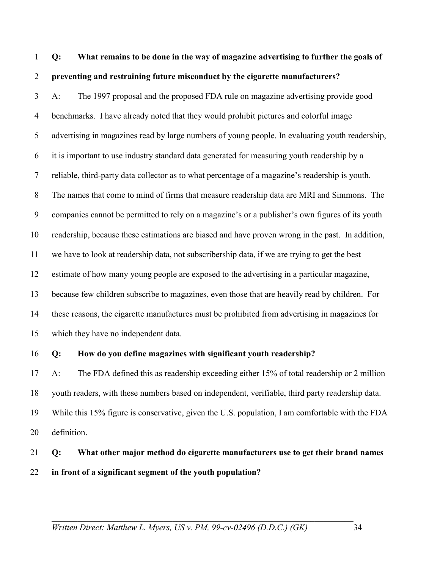## 1 **Q: What remains to be done in the way of magazine advertising to further the goals of**  2 **preventing and restraining future misconduct by the cigarette manufacturers?**

3 A: The 1997 proposal and the proposed FDA rule on magazine advertising provide good 4 benchmarks. I have already noted that they would prohibit pictures and colorful image 5 advertising in magazines read by large numbers of young people. In evaluating youth readership, 6 it is important to use industry standard data generated for measuring youth readership by a 7 reliable, third-party data collector as to what percentage of a magazine's readership is youth. 8 The names that come to mind of firms that measure readership data are MRI and Simmons. The 9 companies cannot be permitted to rely on a magazine's or a publisher's own figures of its youth 10 readership, because these estimations are biased and have proven wrong in the past. In addition, 11 we have to look at readership data, not subscribership data, if we are trying to get the best 12 estimate of how many young people are exposed to the advertising in a particular magazine, 13 because few children subscribe to magazines, even those that are heavily read by children. For 14 these reasons, the cigarette manufactures must be prohibited from advertising in magazines for 15 which they have no independent data.

### 16 **Q: How do you define magazines with significant youth readership?**

17 A: The FDA defined this as readership exceeding either 15% of total readership or 2 million 18 youth readers, with these numbers based on independent, verifiable, third party readership data. 19 While this 15% figure is conservative, given the U.S. population, I am comfortable with the FDA 20 definition.

## 21 **Q: What other major method do cigarette manufacturers use to get their brand names**  22 **in front of a significant segment of the youth population?**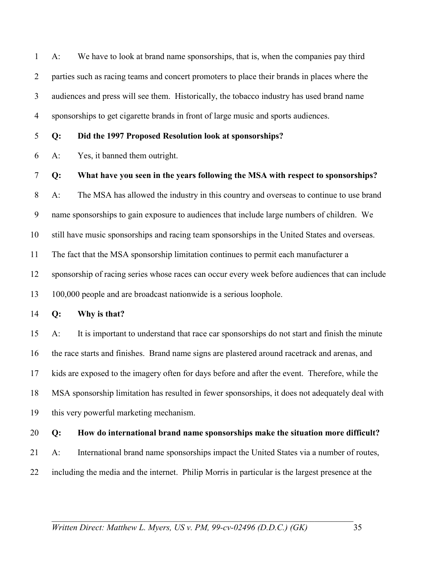1 A: We have to look at brand name sponsorships, that is, when the companies pay third 2 parties such as racing teams and concert promoters to place their brands in places where the 3 audiences and press will see them. Historically, the tobacco industry has used brand name 4 sponsorships to get cigarette brands in front of large music and sports audiences.

5 **Q: Did the 1997 Proposed Resolution look at sponsorships?** 

6 A: Yes, it banned them outright.

7 **Q: What have you seen in the years following the MSA with respect to sponsorships?** 

8 A: The MSA has allowed the industry in this country and overseas to continue to use brand

9 name sponsorships to gain exposure to audiences that include large numbers of children. We

10 still have music sponsorships and racing team sponsorships in the United States and overseas.

11 The fact that the MSA sponsorship limitation continues to permit each manufacturer a

12 sponsorship of racing series whose races can occur every week before audiences that can include

13 100,000 people and are broadcast nationwide is a serious loophole.

14 **Q: Why is that?** 

15 A: It is important to understand that race car sponsorships do not start and finish the minute 16 the race starts and finishes. Brand name signs are plastered around racetrack and arenas, and 17 kids are exposed to the imagery often for days before and after the event. Therefore, while the 18 MSA sponsorship limitation has resulted in fewer sponsorships, it does not adequately deal with 19 this very powerful marketing mechanism.

- 20 **Q: How do international brand name sponsorships make the situation more difficult?**
- 21 A: International brand name sponsorships impact the United States via a number of routes,
- 22 including the media and the internet. Philip Morris in particular is the largest presence at the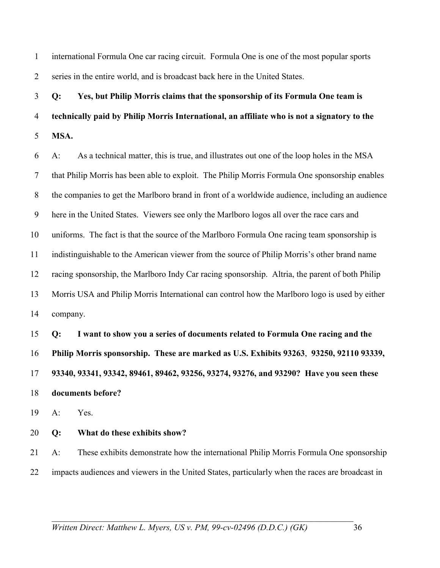1 international Formula One car racing circuit. Formula One is one of the most popular sports 2 series in the entire world, and is broadcast back here in the United States.

3 **Q: Yes, but Philip Morris claims that the sponsorship of its Formula One team is**  4 **technically paid by Philip Morris International, an affiliate who is not a signatory to the**  5 **MSA.** 

6 A: As a technical matter, this is true, and illustrates out one of the loop holes in the MSA 7 that Philip Morris has been able to exploit. The Philip Morris Formula One sponsorship enables 8 the companies to get the Marlboro brand in front of a worldwide audience, including an audience 9 here in the United States. Viewers see only the Marlboro logos all over the race cars and 10 uniforms. The fact is that the source of the Marlboro Formula One racing team sponsorship is 11 indistinguishable to the American viewer from the source of Philip Morris's other brand name 12 racing sponsorship, the Marlboro Indy Car racing sponsorship. Altria, the parent of both Philip 13 Morris USA and Philip Morris International can control how the Marlboro logo is used by either 14 company.

**Q: I want to show you a series of documents related to Formula One racing and the Philip Morris sponsorship. These are marked as U.S. Exhibits 93263**, **93250, 92110 93339, 93340, 93341, 93342, 89461, 89462, 93256, 93274, 93276, and 93290? Have you seen these documents before?** 

19 A: Yes.

### 20 **Q: What do these exhibits show?**

21 A: These exhibits demonstrate how the international Philip Morris Formula One sponsorship 22 impacts audiences and viewers in the United States, particularly when the races are broadcast in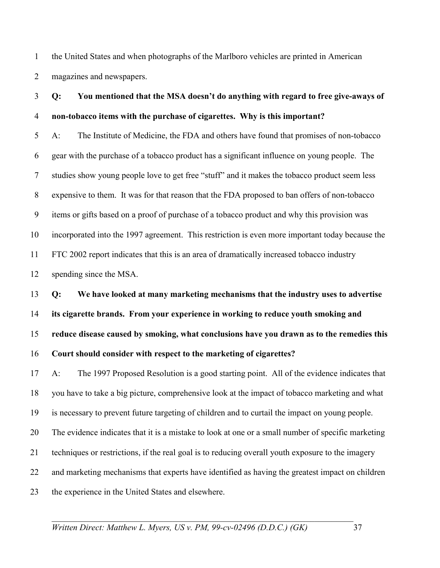1 the United States and when photographs of the Marlboro vehicles are printed in American 2 magazines and newspapers.

## 3 **Q: You mentioned that the MSA doesn't do anything with regard to free give-aways of**  4 **non-tobacco items with the purchase of cigarettes. Why is this important?**

5 A: The Institute of Medicine, the FDA and others have found that promises of non-tobacco 6 gear with the purchase of a tobacco product has a significant influence on young people. The 7 studies show young people love to get free "stuff" and it makes the tobacco product seem less 8 expensive to them. It was for that reason that the FDA proposed to ban offers of non-tobacco 9 items or gifts based on a proof of purchase of a tobacco product and why this provision was 10 incorporated into the 1997 agreement. This restriction is even more important today because the 11 FTC 2002 report indicates that this is an area of dramatically increased tobacco industry 12 spending since the MSA.

**Q: We have looked at many marketing mechanisms that the industry uses to advertise its cigarette brands. From your experience in working to reduce youth smoking and reduce disease caused by smoking, what conclusions have you drawn as to the remedies this Court should consider with respect to the marketing of cigarettes?** 

17 A: The 1997 Proposed Resolution is a good starting point. All of the evidence indicates that 18 you have to take a big picture, comprehensive look at the impact of tobacco marketing and what 19 is necessary to prevent future targeting of children and to curtail the impact on young people. 20 The evidence indicates that it is a mistake to look at one or a small number of specific marketing 21 techniques or restrictions, if the real goal is to reducing overall youth exposure to the imagery 22 and marketing mechanisms that experts have identified as having the greatest impact on children 23 the experience in the United States and elsewhere.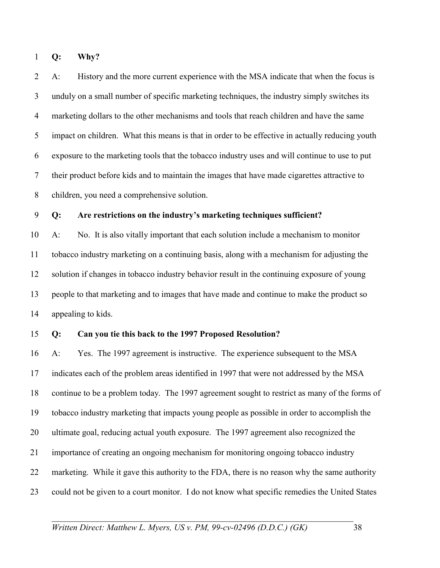1 **Q: Why?** 

2 A: History and the more current experience with the MSA indicate that when the focus is 3 unduly on a small number of specific marketing techniques, the industry simply switches its 4 marketing dollars to the other mechanisms and tools that reach children and have the same 5 impact on children. What this means is that in order to be effective in actually reducing youth 6 exposure to the marketing tools that the tobacco industry uses and will continue to use to put 7 their product before kids and to maintain the images that have made cigarettes attractive to 8 children, you need a comprehensive solution.

#### 9 **Q: Are restrictions on the industry's marketing techniques sufficient?**

10 A: No. It is also vitally important that each solution include a mechanism to monitor 11 tobacco industry marketing on a continuing basis, along with a mechanism for adjusting the 12 solution if changes in tobacco industry behavior result in the continuing exposure of young 13 people to that marketing and to images that have made and continue to make the product so 14 appealing to kids.

#### 15 **Q: Can you tie this back to the 1997 Proposed Resolution?**

16 A: Yes. The 1997 agreement is instructive. The experience subsequent to the MSA 17 indicates each of the problem areas identified in 1997 that were not addressed by the MSA 18 continue to be a problem today. The 1997 agreement sought to restrict as many of the forms of 19 tobacco industry marketing that impacts young people as possible in order to accomplish the 20 ultimate goal, reducing actual youth exposure. The 1997 agreement also recognized the 21 importance of creating an ongoing mechanism for monitoring ongoing tobacco industry 22 marketing. While it gave this authority to the FDA, there is no reason why the same authority 23 could not be given to a court monitor. I do not know what specific remedies the United States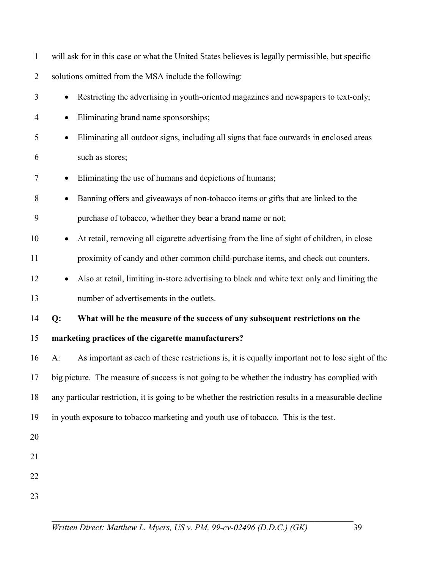| $\mathbf{1}$   | will ask for in this case or what the United States believes is legally permissible, but specific        |
|----------------|----------------------------------------------------------------------------------------------------------|
| $\overline{2}$ | solutions omitted from the MSA include the following:                                                    |
| 3              | Restricting the advertising in youth-oriented magazines and newspapers to text-only;                     |
| $\overline{4}$ | Eliminating brand name sponsorships;<br>$\bullet$                                                        |
| 5              | Eliminating all outdoor signs, including all signs that face outwards in enclosed areas<br>$\bullet$     |
| 6              | such as stores;                                                                                          |
| 7              | Eliminating the use of humans and depictions of humans;                                                  |
| 8              | Banning offers and giveaways of non-tobacco items or gifts that are linked to the                        |
| 9              | purchase of tobacco, whether they bear a brand name or not;                                              |
| 10             | At retail, removing all cigarette advertising from the line of sight of children, in close               |
| 11             | proximity of candy and other common child-purchase items, and check out counters.                        |
| 12             | Also at retail, limiting in-store advertising to black and white text only and limiting the              |
| 13             | number of advertisements in the outlets.                                                                 |
| 14             | What will be the measure of the success of any subsequent restrictions on the<br>Q:                      |
| 15             | marketing practices of the cigarette manufacturers?                                                      |
| 16             | As important as each of these restrictions is, it is equally important not to lose sight of the<br>$A$ : |
| 17             | big picture. The measure of success is not going to be whether the industry has complied with            |
| 18             | any particular restriction, it is going to be whether the restriction results in a measurable decline    |
| 19             | in youth exposure to tobacco marketing and youth use of tobacco. This is the test.                       |
| 20             |                                                                                                          |
| 21             |                                                                                                          |
| 22             |                                                                                                          |
| 23             |                                                                                                          |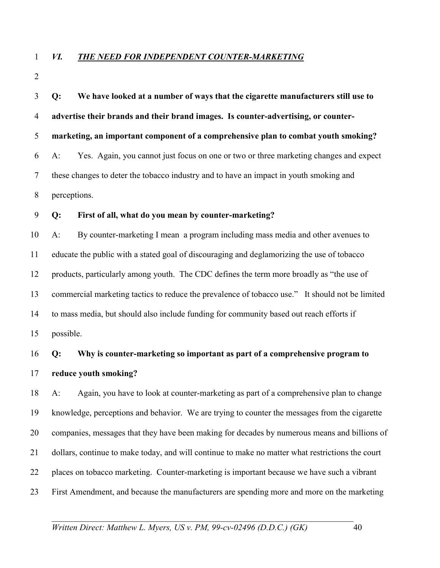### 1 *VI. THE NEED FOR INDEPENDENT COUNTER-MARKETING*

2

| 3              | Q:           | We have looked at a number of ways that the cigarette manufacturers still use to                 |
|----------------|--------------|--------------------------------------------------------------------------------------------------|
| $\overline{4}$ |              | advertise their brands and their brand images. Is counter-advertising, or counter-               |
| 5              |              | marketing, an important component of a comprehensive plan to combat youth smoking?               |
| 6              | $A$ :        | Yes. Again, you cannot just focus on one or two or three marketing changes and expect            |
| $\overline{7}$ |              | these changes to deter the tobacco industry and to have an impact in youth smoking and           |
| $8\phantom{.}$ | perceptions. |                                                                                                  |
| 9              | Q:           | First of all, what do you mean by counter-marketing?                                             |
| 10             | $A$ :        | By counter-marketing I mean a program including mass media and other avenues to                  |
| 11             |              | educate the public with a stated goal of discouraging and deglamorizing the use of tobacco       |
| 12             |              | products, particularly among youth. The CDC defines the term more broadly as "the use of         |
| 13             |              | commercial marketing tactics to reduce the prevalence of tobacco use." It should not be limited  |
| 14             |              | to mass media, but should also include funding for community based out reach efforts if          |
| 15             | possible.    |                                                                                                  |
| 16             | Q:           | Why is counter-marketing so important as part of a comprehensive program to                      |
| 17             |              | reduce youth smoking?                                                                            |
| 18             | $A$ :        | Again, you have to look at counter-marketing as part of a comprehensive plan to change           |
| 19             |              | knowledge, perceptions and behavior. We are trying to counter the messages from the cigarette    |
| 20             |              | companies, messages that they have been making for decades by numerous means and billions of     |
| 21             |              | dollars, continue to make today, and will continue to make no matter what restrictions the court |
| 22             |              | places on tobacco marketing. Counter-marketing is important because we have such a vibrant       |
| 23             |              | First Amendment, and because the manufacturers are spending more and more on the marketing       |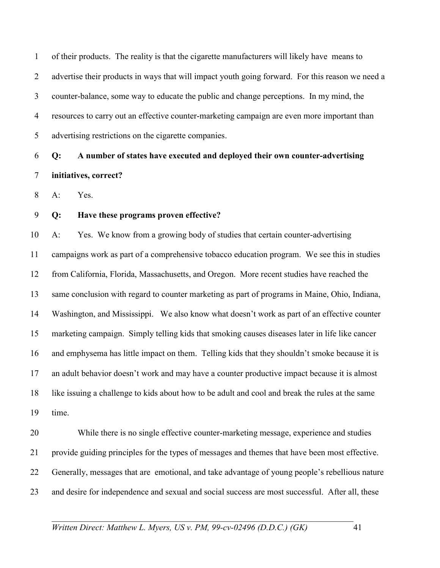1 of their products. The reality is that the cigarette manufacturers will likely have means to 2 advertise their products in ways that will impact youth going forward. For this reason we need a 3 counter-balance, some way to educate the public and change perceptions. In my mind, the 4 resources to carry out an effective counter-marketing campaign are even more important than 5 advertising restrictions on the cigarette companies.

6 **Q: A number of states have executed and deployed their own counter-advertising**  7 **initiatives, correct?** 

8 A: Yes.

9 **Q: Have these programs proven effective?** 

10 A: Yes. We know from a growing body of studies that certain counter-advertising 11 campaigns work as part of a comprehensive tobacco education program. We see this in studies 12 from California, Florida, Massachusetts, and Oregon. More recent studies have reached the 13 same conclusion with regard to counter marketing as part of programs in Maine, Ohio, Indiana, 14 Washington, and Mississippi. We also know what doesn't work as part of an effective counter 15 marketing campaign. Simply telling kids that smoking causes diseases later in life like cancer 16 and emphysema has little impact on them. Telling kids that they shouldn't smoke because it is 17 an adult behavior doesn't work and may have a counter productive impact because it is almost 18 like issuing a challenge to kids about how to be adult and cool and break the rules at the same 19 time.

20 While there is no single effective counter-marketing message, experience and studies 21 provide guiding principles for the types of messages and themes that have been most effective. 22 Generally, messages that are emotional, and take advantage of young people's rebellious nature 23 and desire for independence and sexual and social success are most successful. After all, these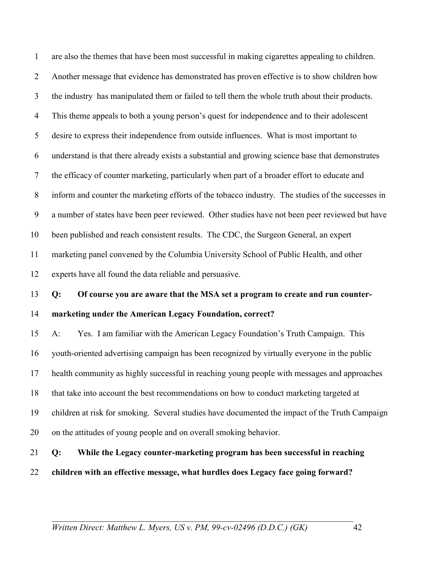1 are also the themes that have been most successful in making cigarettes appealing to children. 2 Another message that evidence has demonstrated has proven effective is to show children how 3 the industry has manipulated them or failed to tell them the whole truth about their products. 4 This theme appeals to both a young person's quest for independence and to their adolescent 5 desire to express their independence from outside influences. What is most important to 6 understand is that there already exists a substantial and growing science base that demonstrates 7 the efficacy of counter marketing, particularly when part of a broader effort to educate and 8 inform and counter the marketing efforts of the tobacco industry. The studies of the successes in 9 a number of states have been peer reviewed. Other studies have not been peer reviewed but have 10 been published and reach consistent results. The CDC, the Surgeon General, an expert 11 marketing panel convened by the Columbia University School of Public Health, and other 12 experts have all found the data reliable and persuasive. 13 **Q: Of course you are aware that the MSA set a program to create and run counter-**14 **marketing under the American Legacy Foundation, correct?**  15 A: Yes. I am familiar with the American Legacy Foundation's Truth Campaign. This 16 youth-oriented advertising campaign has been recognized by virtually everyone in the public 17 health community as highly successful in reaching young people with messages and approaches 18 that take into account the best recommendations on how to conduct marketing targeted at 19 children at risk for smoking. Several studies have documented the impact of the Truth Campaign 20 on the attitudes of young people and on overall smoking behavior. 21 **Q: While the Legacy counter-marketing program has been successful in reaching** 

- 
- 22 **children with an effective message, what hurdles does Legacy face going forward?**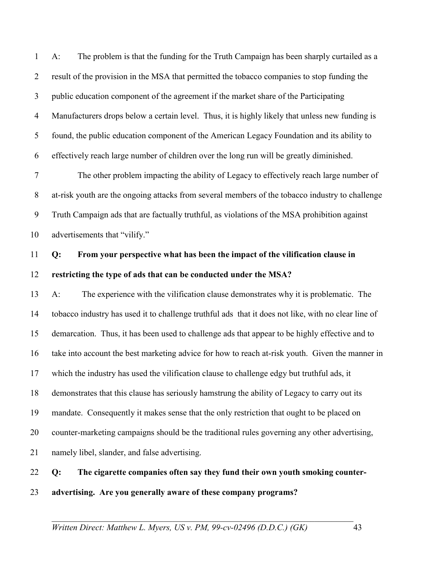1 A: The problem is that the funding for the Truth Campaign has been sharply curtailed as a 2 result of the provision in the MSA that permitted the tobacco companies to stop funding the 3 public education component of the agreement if the market share of the Participating 4 Manufacturers drops below a certain level. Thus, it is highly likely that unless new funding is 5 found, the public education component of the American Legacy Foundation and its ability to 6 effectively reach large number of children over the long run will be greatly diminished.

7 The other problem impacting the ability of Legacy to effectively reach large number of 8 at-risk youth are the ongoing attacks from several members of the tobacco industry to challenge 9 Truth Campaign ads that are factually truthful, as violations of the MSA prohibition against 10 advertisements that "vilify."

## 11 **Q: From your perspective what has been the impact of the vilification clause in**  12 **restricting the type of ads that can be conducted under the MSA?**

13 A: The experience with the vilification clause demonstrates why it is problematic. The 14 tobacco industry has used it to challenge truthful ads that it does not like, with no clear line of 15 demarcation. Thus, it has been used to challenge ads that appear to be highly effective and to 16 take into account the best marketing advice for how to reach at-risk youth. Given the manner in 17 which the industry has used the vilification clause to challenge edgy but truthful ads, it 18 demonstrates that this clause has seriously hamstrung the ability of Legacy to carry out its 19 mandate. Consequently it makes sense that the only restriction that ought to be placed on 20 counter-marketing campaigns should be the traditional rules governing any other advertising, 21 namely libel, slander, and false advertising.

22 **Q: The cigarette companies often say they fund their own youth smoking counter-**23 **advertising. Are you generally aware of these company programs?**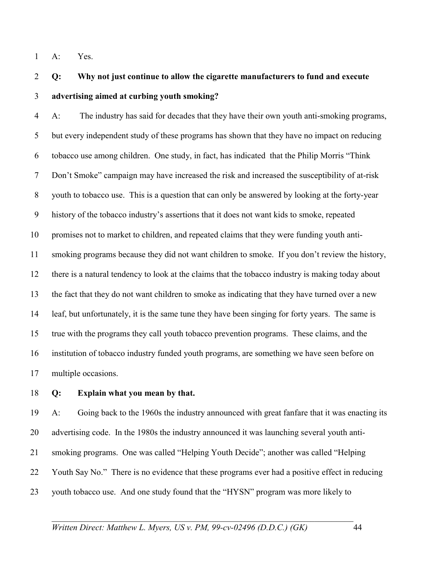1 A: Yes.

## 2 **Q: Why not just continue to allow the cigarette manufacturers to fund and execute**  3 **advertising aimed at curbing youth smoking?**

4 A: The industry has said for decades that they have their own youth anti-smoking programs, 5 but every independent study of these programs has shown that they have no impact on reducing 6 tobacco use among children. One study, in fact, has indicated that the Philip Morris "Think 7 Don't Smoke" campaign may have increased the risk and increased the susceptibility of at-risk 8 youth to tobacco use. This is a question that can only be answered by looking at the forty-year 9 history of the tobacco industry's assertions that it does not want kids to smoke, repeated 10 promises not to market to children, and repeated claims that they were funding youth anti-11 smoking programs because they did not want children to smoke. If you don't review the history, 12 there is a natural tendency to look at the claims that the tobacco industry is making today about 13 the fact that they do not want children to smoke as indicating that they have turned over a new 14 leaf, but unfortunately, it is the same tune they have been singing for forty years. The same is 15 true with the programs they call youth tobacco prevention programs. These claims, and the 16 institution of tobacco industry funded youth programs, are something we have seen before on 17 multiple occasions.

18 **Q: Explain what you mean by that.** 

19 A: Going back to the 1960s the industry announced with great fanfare that it was enacting its 20 advertising code. In the 1980s the industry announced it was launching several youth anti-21 smoking programs. One was called "Helping Youth Decide"; another was called "Helping 22 Youth Say No." There is no evidence that these programs ever had a positive effect in reducing 23 youth tobacco use. And one study found that the "HYSN" program was more likely to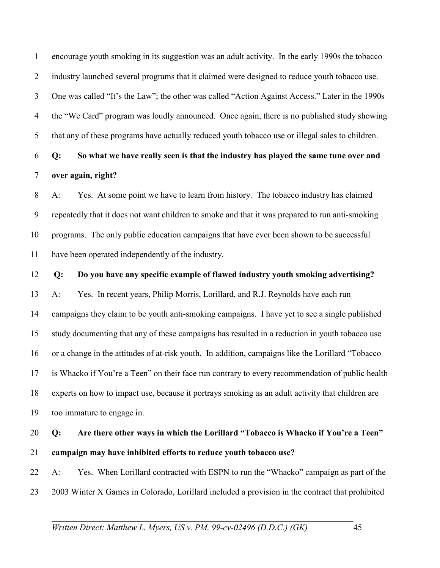1 encourage youth smoking in its suggestion was an adult activity. In the early 1990s the tobacco 2 industry launched several programs that it claimed were designed to reduce youth tobacco use. 3 One was called "It's the Law"; the other was called "Action Against Access." Later in the 1990s 4 the "We Card" program was loudly announced. Once again, there is no published study showing 5 that any of these programs have actually reduced youth tobacco use or illegal sales to children.

## 6 **Q: So what we have really seen is that the industry has played the same tune over and**  7 **over again, right?**

8 A: Yes. At some point we have to learn from history. The tobacco industry has claimed 9 repeatedly that it does not want children to smoke and that it was prepared to run anti-smoking 10 programs. The only public education campaigns that have ever been shown to be successful 11 have been operated independently of the industry.

12 **Q: Do you have any specific example of flawed industry youth smoking advertising?** 

13 A: Yes. In recent years, Philip Morris, Lorillard, and R.J. Reynolds have each run 14 campaigns they claim to be youth anti-smoking campaigns. I have yet to see a single published 15 study documenting that any of these campaigns has resulted in a reduction in youth tobacco use 16 or a change in the attitudes of at-risk youth. In addition, campaigns like the Lorillard "Tobacco 17 is Whacko if You're a Teen" on their face run contrary to every recommendation of public health 18 experts on how to impact use, because it portrays smoking as an adult activity that children are 19 too immature to engage in.

## 20 **Q: Are there other ways in which the Lorillard "Tobacco is Whacko if You're a Teen"**  21 **campaign may have inhibited efforts to reduce youth tobacco use?**

22 A: Yes. When Lorillard contracted with ESPN to run the "Whacko" campaign as part of the 23 2003 Winter X Games in Colorado, Lorillard included a provision in the contract that prohibited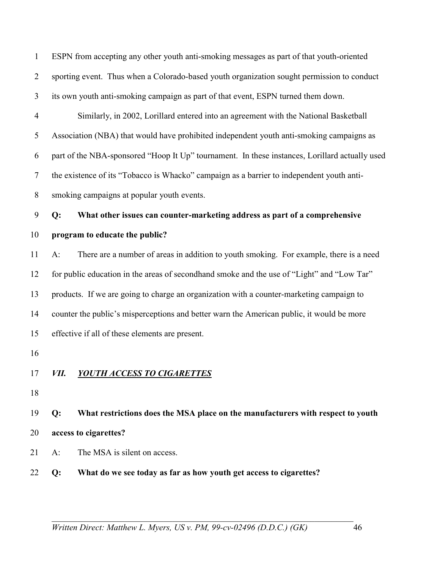1 ESPN from accepting any other youth anti-smoking messages as part of that youth-oriented 2 sporting event. Thus when a Colorado-based youth organization sought permission to conduct 3 its own youth anti-smoking campaign as part of that event, ESPN turned them down. 4 Similarly, in 2002, Lorillard entered into an agreement with the National Basketball 5 Association (NBA) that would have prohibited independent youth anti-smoking campaigns as 6 part of the NBA-sponsored "Hoop It Up" tournament. In these instances, Lorillard actually used 7 the existence of its "Tobacco is Whacko" campaign as a barrier to independent youth anti-8 smoking campaigns at popular youth events. 9 **Q: What other issues can counter-marketing address as part of a comprehensive**  10 **program to educate the public?**  11 A: There are a number of areas in addition to youth smoking. For example, there is a need 12 for public education in the areas of secondhand smoke and the use of "Light" and "Low Tar" 13 products. If we are going to charge an organization with a counter-marketing campaign to 14 counter the public's misperceptions and better warn the American public, it would be more 15 effective if all of these elements are present. 16 17 *VII. YOUTH ACCESS TO CIGARETTES* 18 19 **Q: What restrictions does the MSA place on the manufacturers with respect to youth**  20 **access to cigarettes?**  21 A: The MSA is silent on access.

22 **Q: What do we see today as far as how youth get access to cigarettes?**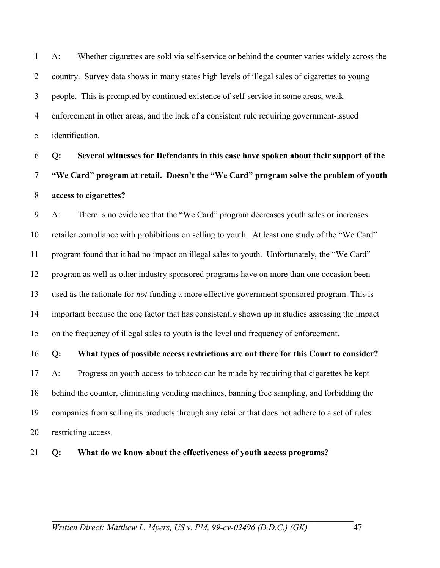1 A: Whether cigarettes are sold via self-service or behind the counter varies widely across the 2 country. Survey data shows in many states high levels of illegal sales of cigarettes to young 3 people. This is prompted by continued existence of self-service in some areas, weak 4 enforcement in other areas, and the lack of a consistent rule requiring government-issued 5 identification.

6 **Q: Several witnesses for Defendants in this case have spoken about their support of the**  7 **"We Card" program at retail. Doesn't the "We Card" program solve the problem of youth**  8 **access to cigarettes?** 

9 A: There is no evidence that the "We Card" program decreases youth sales or increases 10 retailer compliance with prohibitions on selling to youth. At least one study of the "We Card" 11 program found that it had no impact on illegal sales to youth. Unfortunately, the "We Card" 12 program as well as other industry sponsored programs have on more than one occasion been 13 used as the rationale for *not* funding a more effective government sponsored program. This is 14 important because the one factor that has consistently shown up in studies assessing the impact 15 on the frequency of illegal sales to youth is the level and frequency of enforcement.

16 **Q: What types of possible access restrictions are out there for this Court to consider?**  17 A: Progress on youth access to tobacco can be made by requiring that cigarettes be kept 18 behind the counter, eliminating vending machines, banning free sampling, and forbidding the 19 companies from selling its products through any retailer that does not adhere to a set of rules 20 restricting access.

21 **Q: What do we know about the effectiveness of youth access programs?**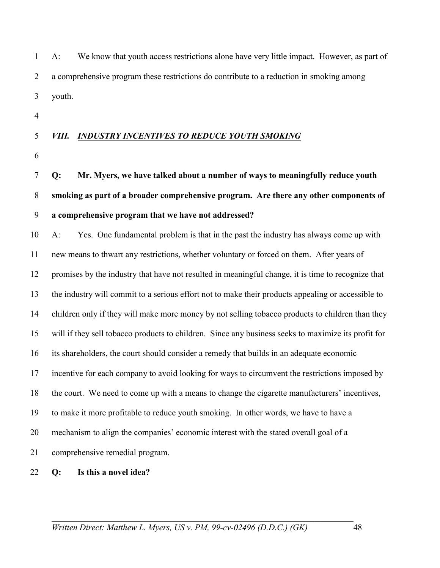| $1 \quad A$ : | We know that youth access restrictions alone have very little impact. However, as part of |
|---------------|-------------------------------------------------------------------------------------------|
|               | a comprehensive program these restrictions do contribute to a reduction in smoking among  |
| 3 youth.      |                                                                                           |

4

### 5 *VIII. INDUSTRY INCENTIVES TO REDUCE YOUTH SMOKING*

6

7 **Q: Mr. Myers, we have talked about a number of ways to meaningfully reduce youth**  8 **smoking as part of a broader comprehensive program. Are there any other components of**  9 **a comprehensive program that we have not addressed?** 

10 A: Yes. One fundamental problem is that in the past the industry has always come up with 11 new means to thwart any restrictions, whether voluntary or forced on them. After years of 12 promises by the industry that have not resulted in meaningful change, it is time to recognize that 13 the industry will commit to a serious effort not to make their products appealing or accessible to 14 children only if they will make more money by not selling tobacco products to children than they 15 will if they sell tobacco products to children. Since any business seeks to maximize its profit for 16 its shareholders, the court should consider a remedy that builds in an adequate economic 17 incentive for each company to avoid looking for ways to circumvent the restrictions imposed by 18 the court. We need to come up with a means to change the cigarette manufacturers' incentives, 19 to make it more profitable to reduce youth smoking. In other words, we have to have a 20 mechanism to align the companies' economic interest with the stated overall goal of a 21 comprehensive remedial program.

22 **Q: Is this a novel idea?**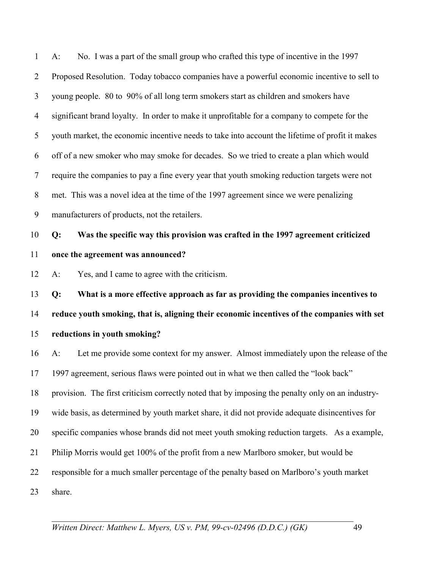1 A: No. I was a part of the small group who crafted this type of incentive in the 1997 2 Proposed Resolution. Today tobacco companies have a powerful economic incentive to sell to 3 young people. 80 to 90% of all long term smokers start as children and smokers have 4 significant brand loyalty. In order to make it unprofitable for a company to compete for the 5 youth market, the economic incentive needs to take into account the lifetime of profit it makes 6 off of a new smoker who may smoke for decades. So we tried to create a plan which would 7 require the companies to pay a fine every year that youth smoking reduction targets were not 8 met. This was a novel idea at the time of the 1997 agreement since we were penalizing 9 manufacturers of products, not the retailers. 10 **Q: Was the specific way this provision was crafted in the 1997 agreement criticized**  11 **once the agreement was announced?**  12 A: Yes, and I came to agree with the criticism. 13 **Q: What is a more effective approach as far as providing the companies incentives to**  14 **reduce youth smoking, that is, aligning their economic incentives of the companies with set**  15 **reductions in youth smoking?**  16 A: Let me provide some context for my answer. Almost immediately upon the release of the 17 1997 agreement, serious flaws were pointed out in what we then called the "look back" 18 provision. The first criticism correctly noted that by imposing the penalty only on an industry-19 wide basis, as determined by youth market share, it did not provide adequate disincentives for 20 specific companies whose brands did not meet youth smoking reduction targets. As a example, 21 Philip Morris would get 100% of the profit from a new Marlboro smoker, but would be 22 responsible for a much smaller percentage of the penalty based on Marlboro's youth market 23 share.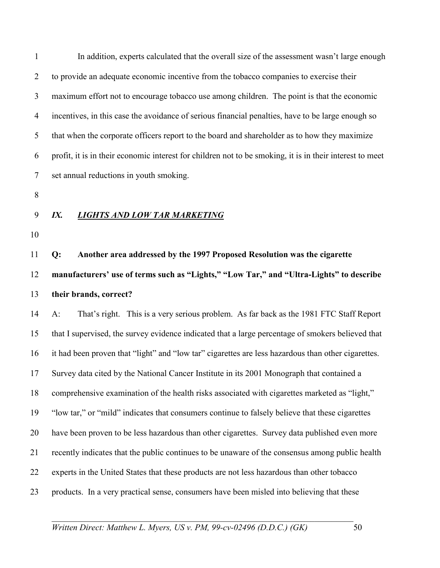1 In addition, experts calculated that the overall size of the assessment wasn't large enough 2 to provide an adequate economic incentive from the tobacco companies to exercise their 3 maximum effort not to encourage tobacco use among children. The point is that the economic 4 incentives, in this case the avoidance of serious financial penalties, have to be large enough so 5 that when the corporate officers report to the board and shareholder as to how they maximize 6 profit, it is in their economic interest for children not to be smoking, it is in their interest to meet 7 set annual reductions in youth smoking.

- 8
- 
- 10

11 **Q: Another area addressed by the 1997 Proposed Resolution was the cigarette**  12 **manufacturers' use of terms such as "Lights," "Low Tar," and "Ultra-Lights" to describe** 

13 **their brands, correct?** 

9 *IX. LIGHTS AND LOW TAR MARKETING*

14 A: That's right. This is a very serious problem. As far back as the 1981 FTC Staff Report 15 that I supervised, the survey evidence indicated that a large percentage of smokers believed that 16 it had been proven that "light" and "low tar" cigarettes are less hazardous than other cigarettes. 17 Survey data cited by the National Cancer Institute in its 2001 Monograph that contained a 18 comprehensive examination of the health risks associated with cigarettes marketed as "light," 19 "low tar," or "mild" indicates that consumers continue to falsely believe that these cigarettes 20 have been proven to be less hazardous than other cigarettes. Survey data published even more 21 recently indicates that the public continues to be unaware of the consensus among public health 22 experts in the United States that these products are not less hazardous than other tobacco 23 products. In a very practical sense, consumers have been misled into believing that these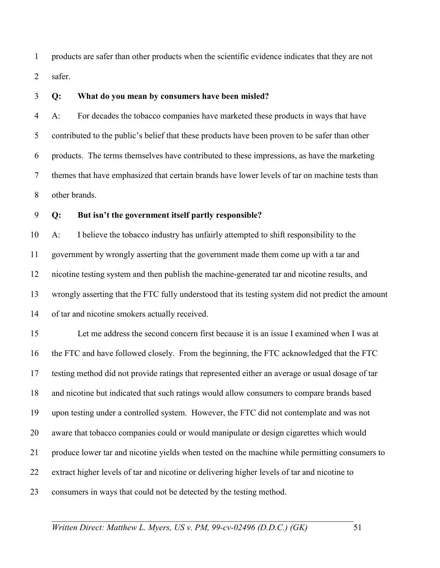1 products are safer than other products when the scientific evidence indicates that they are not 2 safer.

#### 3 **Q: What do you mean by consumers have been misled?**

4 A: For decades the tobacco companies have marketed these products in ways that have 5 contributed to the public's belief that these products have been proven to be safer than other 6 products. The terms themselves have contributed to these impressions, as have the marketing 7 themes that have emphasized that certain brands have lower levels of tar on machine tests than 8 other brands.

### 9 **Q: But isn't the government itself partly responsible?**

10 A: I believe the tobacco industry has unfairly attempted to shift responsibility to the 11 government by wrongly asserting that the government made them come up with a tar and 12 nicotine testing system and then publish the machine-generated tar and nicotine results, and 13 wrongly asserting that the FTC fully understood that its testing system did not predict the amount 14 of tar and nicotine smokers actually received.

15 Let me address the second concern first because it is an issue I examined when I was at 16 the FTC and have followed closely. From the beginning, the FTC acknowledged that the FTC 17 testing method did not provide ratings that represented either an average or usual dosage of tar 18 and nicotine but indicated that such ratings would allow consumers to compare brands based 19 upon testing under a controlled system. However, the FTC did not contemplate and was not 20 aware that tobacco companies could or would manipulate or design cigarettes which would 21 produce lower tar and nicotine yields when tested on the machine while permitting consumers to 22 extract higher levels of tar and nicotine or delivering higher levels of tar and nicotine to 23 consumers in ways that could not be detected by the testing method.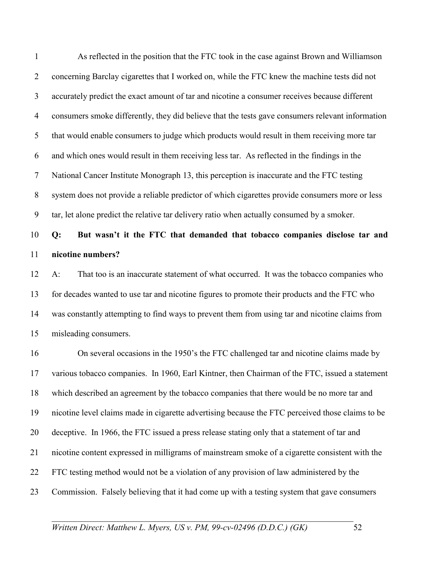1 As reflected in the position that the FTC took in the case against Brown and Williamson 2 concerning Barclay cigarettes that I worked on, while the FTC knew the machine tests did not 3 accurately predict the exact amount of tar and nicotine a consumer receives because different 4 consumers smoke differently, they did believe that the tests gave consumers relevant information 5 that would enable consumers to judge which products would result in them receiving more tar 6 and which ones would result in them receiving less tar. As reflected in the findings in the 7 National Cancer Institute Monograph 13, this perception is inaccurate and the FTC testing 8 system does not provide a reliable predictor of which cigarettes provide consumers more or less 9 tar, let alone predict the relative tar delivery ratio when actually consumed by a smoker.

## 10 **Q: But wasn't it the FTC that demanded that tobacco companies disclose tar and**  11 **nicotine numbers?**

12 A: That too is an inaccurate statement of what occurred. It was the tobacco companies who 13 for decades wanted to use tar and nicotine figures to promote their products and the FTC who 14 was constantly attempting to find ways to prevent them from using tar and nicotine claims from 15 misleading consumers.

16 On several occasions in the 1950's the FTC challenged tar and nicotine claims made by 17 various tobacco companies. In 1960, Earl Kintner, then Chairman of the FTC, issued a statement 18 which described an agreement by the tobacco companies that there would be no more tar and 19 nicotine level claims made in cigarette advertising because the FTC perceived those claims to be 20 deceptive. In 1966, the FTC issued a press release stating only that a statement of tar and 21 nicotine content expressed in milligrams of mainstream smoke of a cigarette consistent with the 22 FTC testing method would not be a violation of any provision of law administered by the 23 Commission. Falsely believing that it had come up with a testing system that gave consumers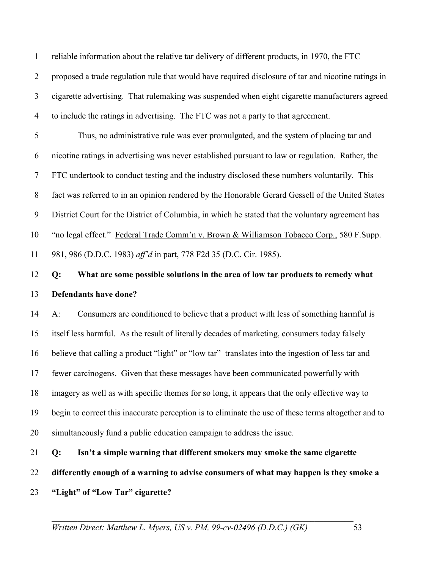1 reliable information about the relative tar delivery of different products, in 1970, the FTC 2 proposed a trade regulation rule that would have required disclosure of tar and nicotine ratings in 3 cigarette advertising. That rulemaking was suspended when eight cigarette manufacturers agreed 4 to include the ratings in advertising. The FTC was not a party to that agreement.

5 Thus, no administrative rule was ever promulgated, and the system of placing tar and 6 nicotine ratings in advertising was never established pursuant to law or regulation. Rather, the 7 FTC undertook to conduct testing and the industry disclosed these numbers voluntarily. This 8 fact was referred to in an opinion rendered by the Honorable Gerard Gessell of the United States 9 District Court for the District of Columbia, in which he stated that the voluntary agreement has 10 "no legal effect." Federal Trade Comm'n v. Brown & Williamson Tobacco Corp., 580 F.Supp. 11 981, 986 (D.D.C. 1983) *aff'd* in part, 778 F2d 35 (D.C. Cir. 1985).

## 12 **Q: What are some possible solutions in the area of low tar products to remedy what**  13 **Defendants have done?**

14 A: Consumers are conditioned to believe that a product with less of something harmful is 15 itself less harmful. As the result of literally decades of marketing, consumers today falsely 16 believe that calling a product "light" or "low tar" translates into the ingestion of less tar and 17 fewer carcinogens. Given that these messages have been communicated powerfully with 18 imagery as well as with specific themes for so long, it appears that the only effective way to 19 begin to correct this inaccurate perception is to eliminate the use of these terms altogether and to 20 simultaneously fund a public education campaign to address the issue.

21 **Q: Isn't a simple warning that different smokers may smoke the same cigarette** 

22 **differently enough of a warning to advise consumers of what may happen is they smoke a** 

23 **"Light" of "Low Tar" cigarette?**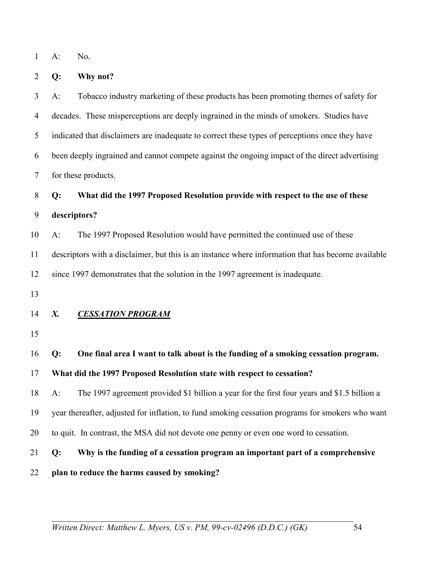1 A: No.

2 **Q: Why not?** 

3 A: Tobacco industry marketing of these products has been promoting themes of safety for 4 decades. These misperceptions are deeply ingrained in the minds of smokers. Studies have 5 indicated that disclaimers are inadequate to correct these types of perceptions once they have 6 been deeply ingrained and cannot compete against the ongoing impact of the direct advertising 7 for these products. 8 **Q: What did the 1997 Proposed Resolution provide with respect to the use of these**  9 **descriptors?**  10 A: The 1997 Proposed Resolution would have permitted the continued use of these 11 descriptors with a disclaimer, but this is an instance where information that has become available 12 since 1997 demonstrates that the solution in the 1997 agreement is inadequate. 13 14 *X. CESSATION PROGRAM* 15 16 **Q: One final area I want to talk about is the funding of a smoking cessation program.**  17 **What did the 1997 Proposed Resolution state with respect to cessation?**  18 A: The 1997 agreement provided \$1 billion a year for the first four years and \$1.5 billion a 19 year thereafter, adjusted for inflation, to fund smoking cessation programs for smokers who want 20 to quit. In contrast, the MSA did not devote one penny or even one word to cessation. 21 **Q: Why is the funding of a cessation program an important part of a comprehensive**  22 **plan to reduce the harms caused by smoking?**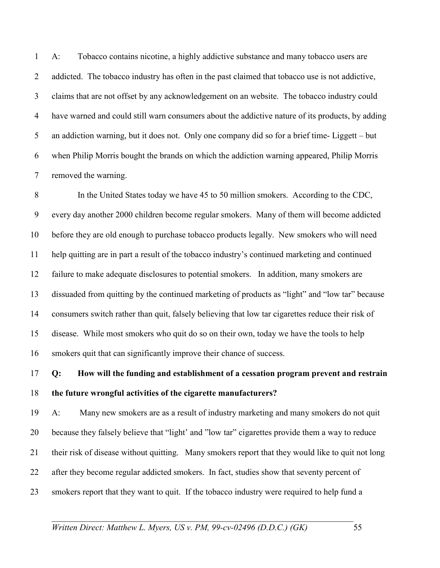1 A: Tobacco contains nicotine, a highly addictive substance and many tobacco users are 2 addicted. The tobacco industry has often in the past claimed that tobacco use is not addictive, 3 claims that are not offset by any acknowledgement on an website. The tobacco industry could 4 have warned and could still warn consumers about the addictive nature of its products, by adding 5 an addiction warning, but it does not. Only one company did so for a brief time- Liggett – but 6 when Philip Morris bought the brands on which the addiction warning appeared, Philip Morris 7 removed the warning.

8 In the United States today we have 45 to 50 million smokers. According to the CDC, 9 every day another 2000 children become regular smokers. Many of them will become addicted 10 before they are old enough to purchase tobacco products legally. New smokers who will need 11 help quitting are in part a result of the tobacco industry's continued marketing and continued 12 failure to make adequate disclosures to potential smokers. In addition, many smokers are 13 dissuaded from quitting by the continued marketing of products as "light" and "low tar" because 14 consumers switch rather than quit, falsely believing that low tar cigarettes reduce their risk of 15 disease. While most smokers who quit do so on their own, today we have the tools to help 16 smokers quit that can significantly improve their chance of success.

## 17 **Q: How will the funding and establishment of a cessation program prevent and restrain**  18 **the future wrongful activities of the cigarette manufacturers?**

19 A: Many new smokers are as a result of industry marketing and many smokers do not quit 20 because they falsely believe that "light' and "low tar" cigarettes provide them a way to reduce 21 their risk of disease without quitting. Many smokers report that they would like to quit not long 22 after they become regular addicted smokers. In fact, studies show that seventy percent of 23 smokers report that they want to quit. If the tobacco industry were required to help fund a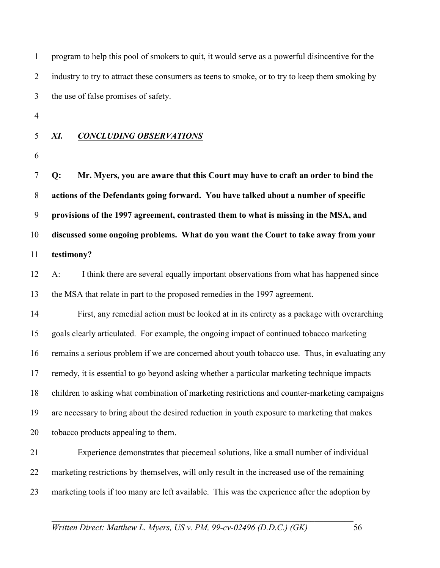| $\mathbf{1}$   | program to help this pool of smokers to quit, it would serve as a powerful disincentive for the |  |
|----------------|-------------------------------------------------------------------------------------------------|--|
| $\overline{2}$ | industry to try to attract these consumers as teens to smoke, or to try to keep them smoking by |  |
| 3              | the use of false promises of safety.                                                            |  |
| $\overline{4}$ |                                                                                                 |  |
| 5              | XI.<br><b>CONCLUDING OBSERVATIONS</b>                                                           |  |
| 6              |                                                                                                 |  |
| $\tau$         | Mr. Myers, you are aware that this Court may have to craft an order to bind the<br>Q:           |  |
| $8\phantom{.}$ | actions of the Defendants going forward. You have talked about a number of specific             |  |
| 9              | provisions of the 1997 agreement, contrasted them to what is missing in the MSA, and            |  |
| 10             | discussed some ongoing problems. What do you want the Court to take away from your              |  |
| 11             | testimony?                                                                                      |  |
| 12             | I think there are several equally important observations from what has happened since<br>$A$ :  |  |
| 13             | the MSA that relate in part to the proposed remedies in the 1997 agreement.                     |  |
| 14             | First, any remedial action must be looked at in its entirety as a package with overarching      |  |
| 15             | goals clearly articulated. For example, the ongoing impact of continued tobacco marketing       |  |
| 16             | remains a serious problem if we are concerned about youth tobacco use. Thus, in evaluating any  |  |
| 17             | remedy, it is essential to go beyond asking whether a particular marketing technique impacts    |  |
| 18             | children to asking what combination of marketing restrictions and counter-marketing campaigns   |  |
| 19             | are necessary to bring about the desired reduction in youth exposure to marketing that makes    |  |
| 20             | tobacco products appealing to them.                                                             |  |
| 21             | Experience demonstrates that piecemeal solutions, like a small number of individual             |  |
| 22             | marketing restrictions by themselves, will only result in the increased use of the remaining    |  |
| 23             | marketing tools if too many are left available. This was the experience after the adoption by   |  |
|                |                                                                                                 |  |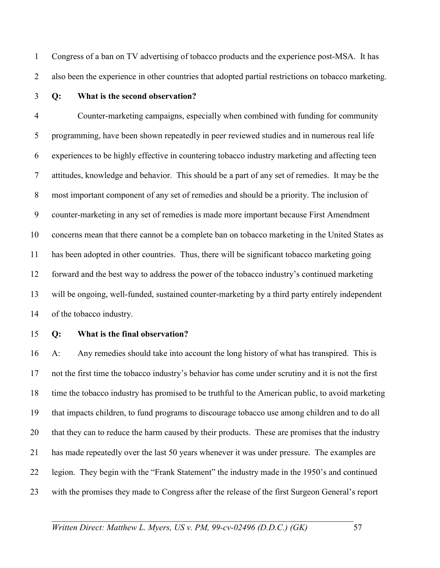1 Congress of a ban on TV advertising of tobacco products and the experience post-MSA. It has 2 also been the experience in other countries that adopted partial restrictions on tobacco marketing.

### 3 **Q: What is the second observation?**

4 Counter-marketing campaigns, especially when combined with funding for community 5 programming, have been shown repeatedly in peer reviewed studies and in numerous real life 6 experiences to be highly effective in countering tobacco industry marketing and affecting teen 7 attitudes, knowledge and behavior. This should be a part of any set of remedies. It may be the 8 most important component of any set of remedies and should be a priority. The inclusion of 9 counter-marketing in any set of remedies is made more important because First Amendment 10 concerns mean that there cannot be a complete ban on tobacco marketing in the United States as 11 has been adopted in other countries. Thus, there will be significant tobacco marketing going 12 forward and the best way to address the power of the tobacco industry's continued marketing 13 will be ongoing, well-funded, sustained counter-marketing by a third party entirely independent 14 of the tobacco industry.

### 15 **Q: What is the final observation?**

16 A: Any remedies should take into account the long history of what has transpired. This is 17 not the first time the tobacco industry's behavior has come under scrutiny and it is not the first 18 time the tobacco industry has promised to be truthful to the American public, to avoid marketing 19 that impacts children, to fund programs to discourage tobacco use among children and to do all 20 that they can to reduce the harm caused by their products. These are promises that the industry 21 has made repeatedly over the last 50 years whenever it was under pressure. The examples are 22 legion. They begin with the "Frank Statement" the industry made in the 1950's and continued 23 with the promises they made to Congress after the release of the first Surgeon General's report